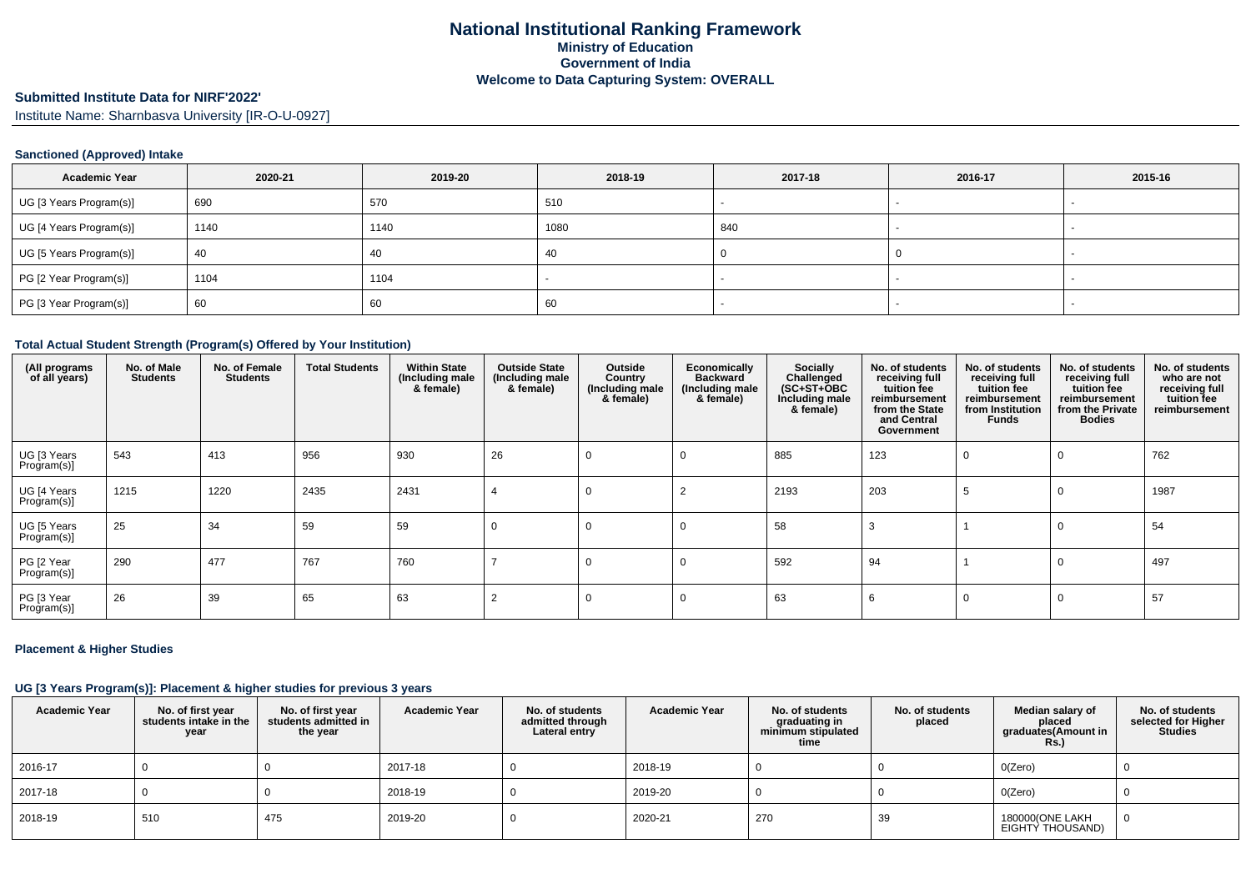# **Submitted Institute Data for NIRF'2022'**

Institute Name: Sharnbasva University [IR-O-U-0927]

### **Sanctioned (Approved) Intake**

| <b>Academic Year</b>    | 2020-21 | 2019-20 | 2018-19 | 2017-18 | 2016-17 | 2015-16                  |
|-------------------------|---------|---------|---------|---------|---------|--------------------------|
| UG [3 Years Program(s)] | 690     | 570     | 510     |         |         | $\overline{\phantom{a}}$ |
| UG [4 Years Program(s)] | 1140    | 1140    | 1080    | 840     |         |                          |
| UG [5 Years Program(s)] | 40      | -40     | -40     |         |         |                          |
| PG [2 Year Program(s)]  | 1104    | 1104    |         |         |         |                          |
| PG [3 Year Program(s)]  | 60      | 60      | 60      |         |         |                          |

#### **Total Actual Student Strength (Program(s) Offered by Your Institution)**

| (All programs<br>of all years) | No. of Male<br><b>Students</b> | No. of Female<br><b>Students</b> | <b>Total Students</b> | <b>Within State</b><br>(Including male<br>& female) | <b>Outside State</b><br>(Including male<br>& female) | Outside<br>Country<br>(Including male<br>& female) | Economically<br><b>Backward</b><br>(Including male<br>& female) | Socially<br>Challenged<br>$(SC+ST+OBC)$<br>Including male<br>& female) | No. of students<br>receiving full<br>tuition fee<br>reimbursement<br>from the State<br>and Central<br>Government | No. of students<br>receiving full<br>tuition fee<br>reimbursement<br>from Institution<br><b>Funds</b> | No. of students<br>receiving full<br>tuition fee<br>reimbursement<br>from the Private<br><b>Bodies</b> | No. of students<br>who are not<br>receiving full<br>tuition fee<br>reimbursement |
|--------------------------------|--------------------------------|----------------------------------|-----------------------|-----------------------------------------------------|------------------------------------------------------|----------------------------------------------------|-----------------------------------------------------------------|------------------------------------------------------------------------|------------------------------------------------------------------------------------------------------------------|-------------------------------------------------------------------------------------------------------|--------------------------------------------------------------------------------------------------------|----------------------------------------------------------------------------------|
| UG [3 Years<br>Program(s)]     | 543                            | 413                              | 956                   | 930                                                 | 26                                                   | 0                                                  | $\Omega$                                                        | 885                                                                    | 123                                                                                                              |                                                                                                       |                                                                                                        | 762                                                                              |
| UG [4 Years<br>Program(s)]     | 1215                           | 1220                             | 2435                  | 2431                                                |                                                      | 0                                                  |                                                                 | 2193                                                                   | 203                                                                                                              |                                                                                                       |                                                                                                        | 1987                                                                             |
| UG [5 Years<br>Program(s)]     | 25                             | 34                               | 59                    | 59                                                  |                                                      | 0                                                  | $\Omega$                                                        | 58                                                                     | -3                                                                                                               |                                                                                                       |                                                                                                        | 54                                                                               |
| PG [2 Year<br>Program(s)]      | 290                            | 477                              | 767                   | 760                                                 |                                                      |                                                    | $\Omega$                                                        | 592                                                                    | 94                                                                                                               |                                                                                                       |                                                                                                        | 497                                                                              |
| PG [3 Year<br>Program(s)]      | 26                             | 39                               | 65                    | 63                                                  |                                                      |                                                    | $\Omega$                                                        | 63                                                                     |                                                                                                                  |                                                                                                       |                                                                                                        | 57                                                                               |

### **Placement & Higher Studies**

### **UG [3 Years Program(s)]: Placement & higher studies for previous 3 years**

| <b>Academic Year</b> | No. of first year<br>students intake in the<br>year | No. of first year<br>students admitted in<br>the year | <b>Academic Year</b> | No. of students<br>admitted through<br>Lateral entry | <b>Academic Year</b> | No. of students<br>graduating in<br>minimum stipulated<br>time | No. of students<br>placed | Median salary of<br>placed<br>graduates(Amount in<br><b>Rs.)</b> | No. of students<br>selected for Higher<br><b>Studies</b> |
|----------------------|-----------------------------------------------------|-------------------------------------------------------|----------------------|------------------------------------------------------|----------------------|----------------------------------------------------------------|---------------------------|------------------------------------------------------------------|----------------------------------------------------------|
| 2016-17              |                                                     |                                                       | 2017-18              |                                                      | 2018-19              |                                                                |                           | O(Zero)                                                          |                                                          |
| 2017-18              |                                                     |                                                       | 2018-19              |                                                      | 2019-20              |                                                                |                           | O(Zero)                                                          |                                                          |
| 2018-19              | 510                                                 | 475                                                   | 2019-20              |                                                      | 2020-21              | 270                                                            | 39                        | 180000(ONE LAKH<br>EIGHTY THOUSAND)                              |                                                          |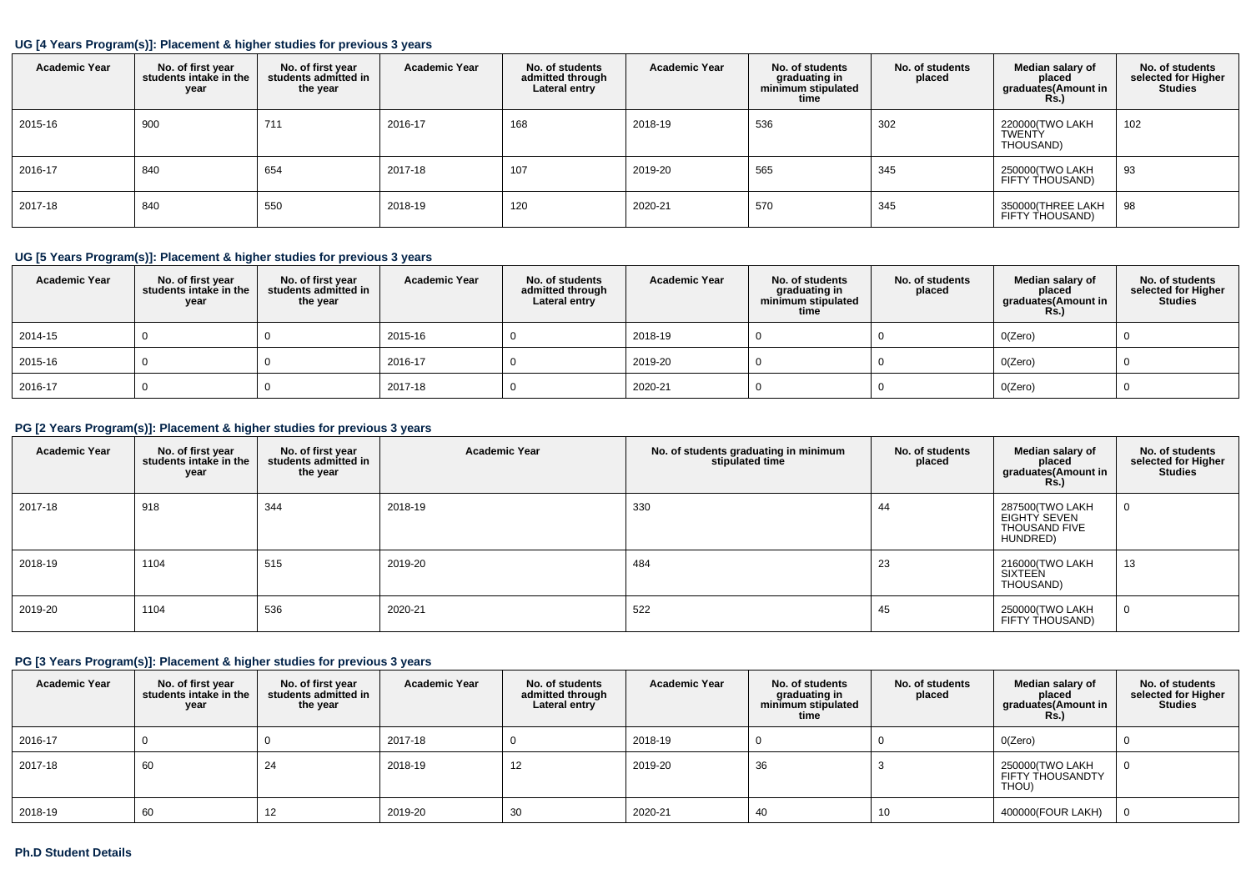### **UG [4 Years Program(s)]: Placement & higher studies for previous 3 years**

| <b>Academic Year</b> | No. of first year<br>students intake in the<br>year | No. of first year<br>students admitted in<br>the year | <b>Academic Year</b> | No. of students<br>admitted through<br>Lateral entry | <b>Academic Year</b> | No. of students<br>graduating in<br>minimum stipulated<br>time | No. of students<br>placed | Median salary of<br>placed<br>graduates(Amount in<br><b>Rs.)</b> | No. of students<br>selected for Higher<br><b>Studies</b> |
|----------------------|-----------------------------------------------------|-------------------------------------------------------|----------------------|------------------------------------------------------|----------------------|----------------------------------------------------------------|---------------------------|------------------------------------------------------------------|----------------------------------------------------------|
| 2015-16              | 900                                                 | 711                                                   | 2016-17              | 168                                                  | 2018-19              | 536                                                            | 302                       | 220000(TWO LAKH<br><b>TWENTY</b><br>THOUSAND)                    | 102                                                      |
| 2016-17              | 840                                                 | 654                                                   | 2017-18              | 107                                                  | 2019-20              | 565                                                            | 345                       | 250000(TWO LAKH<br>FIFTY THOUSAND)                               | 93                                                       |
| 2017-18              | 840                                                 | 550                                                   | 2018-19              | 120                                                  | 2020-21              | 570                                                            | 345                       | 350000(THREE LAKH<br>FIFTY THOUSAND)                             | 98                                                       |

## **UG [5 Years Program(s)]: Placement & higher studies for previous 3 years**

| <b>Academic Year</b> | No. of first year<br>students intake in the<br>year | No. of first year<br>students admitted in<br>the year | <b>Academic Year</b> | No. of students<br>admitted through<br>Lateral entry | <b>Academic Year</b> | No. of students<br>graduating in<br>minimum stipulated<br>time | No. of students<br>placed | Median salary of<br>placed<br>graduates(Amount in<br>Rs.) | No. of students<br>selected for Higher<br><b>Studies</b> |
|----------------------|-----------------------------------------------------|-------------------------------------------------------|----------------------|------------------------------------------------------|----------------------|----------------------------------------------------------------|---------------------------|-----------------------------------------------------------|----------------------------------------------------------|
| 2014-15              |                                                     |                                                       | 2015-16              |                                                      | 2018-19              |                                                                |                           | O(Zero)                                                   |                                                          |
| 2015-16              |                                                     |                                                       | 2016-17              |                                                      | 2019-20              |                                                                |                           | O(Zero)                                                   |                                                          |
| 2016-17              |                                                     |                                                       | 2017-18              |                                                      | 2020-21              |                                                                |                           | O(Zero)                                                   |                                                          |

## **PG [2 Years Program(s)]: Placement & higher studies for previous 3 years**

| <b>Academic Year</b> | No. of first year<br>students intake in the<br>year | No. of first year<br>students admitted in<br>the year | <b>Academic Year</b> | No. of students graduating in minimum<br>stipulated time | No. of students<br>placed | Median salary of<br>placed<br>graduates(Amount in<br><b>Rs.)</b>    | No. of students<br>selected for Higher<br><b>Studies</b> |
|----------------------|-----------------------------------------------------|-------------------------------------------------------|----------------------|----------------------------------------------------------|---------------------------|---------------------------------------------------------------------|----------------------------------------------------------|
| 2017-18              | 918                                                 | 344                                                   | 2018-19              | 330                                                      | 44                        | 287500(TWO LAKH<br>EIGHTY SEVEN<br><b>THOUSAND FIVE</b><br>HUNDRED) | U                                                        |
| 2018-19              | 1104                                                | 515                                                   | 2019-20              | 484                                                      | 23                        | 216000(TWO LAKH<br>SIXTEEN<br>THOUSAND)                             | 13                                                       |
| 2019-20              | 1104                                                | 536                                                   | 2020-21              | 522                                                      | 45                        | 250000(TWO LAKH<br>FIFTY THOUSAND)                                  | U                                                        |

## **PG [3 Years Program(s)]: Placement & higher studies for previous 3 years**

| <b>Academic Year</b> | No. of first year<br>students intake in the<br>year | No. of first vear<br>students admitted in<br>the year | <b>Academic Year</b> | No. of students<br>admitted through<br>Lateral entry | <b>Academic Year</b> | No. of students<br>graduating in<br>minimum stipulated<br>time | No. of students<br>placed | Median salary of<br>placed<br>graduates(Amount in<br><b>Rs.)</b> | No. of students<br>selected for Higher<br><b>Studies</b> |
|----------------------|-----------------------------------------------------|-------------------------------------------------------|----------------------|------------------------------------------------------|----------------------|----------------------------------------------------------------|---------------------------|------------------------------------------------------------------|----------------------------------------------------------|
| 2016-17              |                                                     |                                                       | 2017-18              |                                                      | 2018-19              |                                                                |                           | O(Zero)                                                          |                                                          |
| 2017-18              | 60                                                  | 24                                                    | 2018-19              | 12                                                   | 2019-20              | 36                                                             |                           | 250000(TWO LAKH<br>FIFTY THOUSANDTY<br>THOU)                     |                                                          |
| 2018-19              | 60                                                  | 14                                                    | 2019-20              | 30                                                   | 2020-21              | 40                                                             | 10                        | 400000(FOUR LAKH)                                                |                                                          |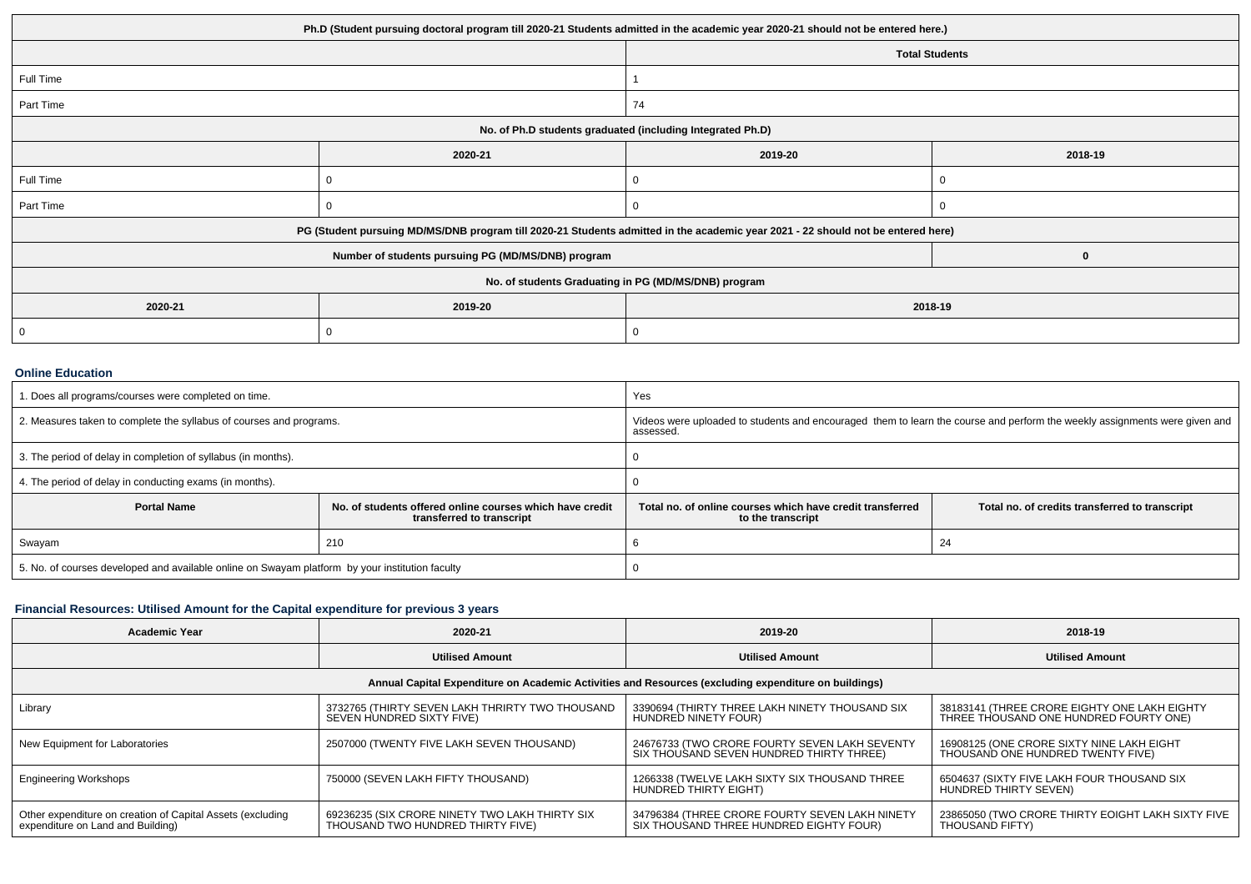| Ph.D (Student pursuing doctoral program till 2020-21 Students admitted in the academic year 2020-21 should not be entered here.) |                                                                                                                                  |                       |         |  |  |  |  |
|----------------------------------------------------------------------------------------------------------------------------------|----------------------------------------------------------------------------------------------------------------------------------|-----------------------|---------|--|--|--|--|
|                                                                                                                                  |                                                                                                                                  | <b>Total Students</b> |         |  |  |  |  |
| Full Time                                                                                                                        |                                                                                                                                  |                       |         |  |  |  |  |
| Part Time                                                                                                                        |                                                                                                                                  | 74                    |         |  |  |  |  |
| No. of Ph.D students graduated (including Integrated Ph.D)                                                                       |                                                                                                                                  |                       |         |  |  |  |  |
|                                                                                                                                  | 2020-21                                                                                                                          | 2019-20               | 2018-19 |  |  |  |  |
| Full Time                                                                                                                        |                                                                                                                                  |                       |         |  |  |  |  |
| Part Time                                                                                                                        |                                                                                                                                  |                       |         |  |  |  |  |
|                                                                                                                                  | PG (Student pursuing MD/MS/DNB program till 2020-21 Students admitted in the academic year 2021 - 22 should not be entered here) |                       |         |  |  |  |  |
|                                                                                                                                  | Number of students pursuing PG (MD/MS/DNB) program                                                                               |                       |         |  |  |  |  |
| No. of students Graduating in PG (MD/MS/DNB) program                                                                             |                                                                                                                                  |                       |         |  |  |  |  |
| 2020-21                                                                                                                          | 2019-20<br>2018-19                                                                                                               |                       |         |  |  |  |  |
|                                                                                                                                  |                                                                                                                                  |                       |         |  |  |  |  |

#### **Online Education**

| 1. Does all programs/courses were completed on time.                                            |                                                                                       | Yes                                                                                                                                     |                                                |  |  |  |
|-------------------------------------------------------------------------------------------------|---------------------------------------------------------------------------------------|-----------------------------------------------------------------------------------------------------------------------------------------|------------------------------------------------|--|--|--|
| 2. Measures taken to complete the syllabus of courses and programs.                             |                                                                                       | Videos were uploaded to students and encouraged them to learn the course and perform the weekly assignments were given and<br>assessed. |                                                |  |  |  |
| 3. The period of delay in completion of syllabus (in months).                                   |                                                                                       |                                                                                                                                         |                                                |  |  |  |
| 4. The period of delay in conducting exams (in months).                                         |                                                                                       |                                                                                                                                         |                                                |  |  |  |
| <b>Portal Name</b>                                                                              | No. of students offered online courses which have credit<br>transferred to transcript | Total no, of online courses which have credit transferred<br>to the transcript                                                          | Total no. of credits transferred to transcript |  |  |  |
| 210<br>Swayam                                                                                   |                                                                                       |                                                                                                                                         | 24                                             |  |  |  |
| 5. No. of courses developed and available online on Swayam platform by your institution faculty |                                                                                       |                                                                                                                                         |                                                |  |  |  |

## **Financial Resources: Utilised Amount for the Capital expenditure for previous 3 years**

| Academic Year                                                                                        | 2020-21                                                                             | 2019-20                                                                                   | 2018-19                                                                                |  |  |  |  |  |
|------------------------------------------------------------------------------------------------------|-------------------------------------------------------------------------------------|-------------------------------------------------------------------------------------------|----------------------------------------------------------------------------------------|--|--|--|--|--|
|                                                                                                      | <b>Utilised Amount</b>                                                              | <b>Utilised Amount</b>                                                                    | <b>Utilised Amount</b>                                                                 |  |  |  |  |  |
| Annual Capital Expenditure on Academic Activities and Resources (excluding expenditure on buildings) |                                                                                     |                                                                                           |                                                                                        |  |  |  |  |  |
| Library                                                                                              | 3732765 (THIRTY SEVEN LAKH THRIRTY TWO THOUSAND<br>SEVEN HUNDRED SIXTY FIVE)        | 3390694 (THIRTY THREE LAKH NINETY THOUSAND SIX<br>HUNDRED NINETY FOUR)                    | 38183141 (THREE CRORE EIGHTY ONE LAKH EIGHTY<br>THREE THOUSAND ONE HUNDRED FOURTY ONE) |  |  |  |  |  |
| New Equipment for Laboratories                                                                       | 2507000 (TWENTY FIVE LAKH SEVEN THOUSAND)                                           | 24676733 (TWO CRORE FOURTY SEVEN LAKH SEVENTY<br>SIX THOUSAND SEVEN HUNDRED THIRTY THREE) | 16908125 (ONE CRORE SIXTY NINE LAKH EIGHT<br>THOUSAND ONE HUNDRED TWENTY FIVE)         |  |  |  |  |  |
| <b>Engineering Workshops</b>                                                                         | 750000 (SEVEN LAKH FIFTY THOUSAND)                                                  | 1266338 (TWELVE LAKH SIXTY SIX THOUSAND THREE<br>HUNDRED THIRTY EIGHT)                    | 6504637 (SIXTY FIVE LAKH FOUR THOUSAND SIX<br>HUNDRED THIRTY SEVEN)                    |  |  |  |  |  |
| Other expenditure on creation of Capital Assets (excluding<br>expenditure on Land and Building)      | 69236235 (SIX CRORE NINETY TWO LAKH THIRTY SIX<br>THOUSAND TWO HUNDRED THIRTY FIVE) | 34796384 (THREE CRORE FOURTY SEVEN LAKH NINETY<br>SIX THOUSAND THREE HUNDRED EIGHTY FOUR) | 23865050 (TWO CRORE THIRTY EOIGHT LAKH SIXTY FIVE<br>THOUSAND FIFTY)                   |  |  |  |  |  |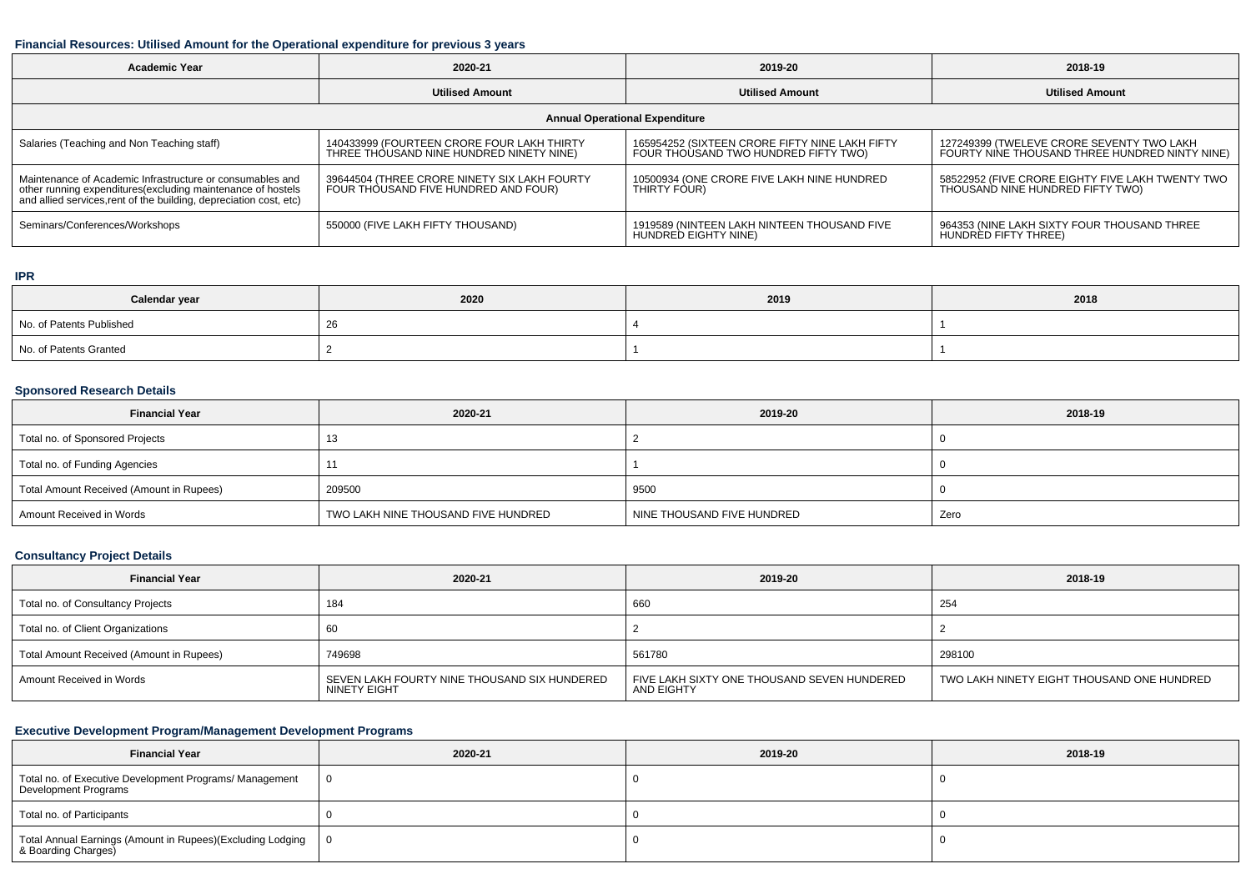### **Financial Resources: Utilised Amount for the Operational expenditure for previous 3 years**

| <b>Academic Year</b>                                                                                                                                                                           | 2020-21                                                                                | 2019-20                                                                                | 2018-19                                                                                     |  |  |  |  |  |
|------------------------------------------------------------------------------------------------------------------------------------------------------------------------------------------------|----------------------------------------------------------------------------------------|----------------------------------------------------------------------------------------|---------------------------------------------------------------------------------------------|--|--|--|--|--|
|                                                                                                                                                                                                | <b>Utilised Amount</b>                                                                 | <b>Utilised Amount</b>                                                                 | <b>Utilised Amount</b>                                                                      |  |  |  |  |  |
| <b>Annual Operational Expenditure</b>                                                                                                                                                          |                                                                                        |                                                                                        |                                                                                             |  |  |  |  |  |
| Salaries (Teaching and Non Teaching staff)                                                                                                                                                     | 140433999 (FOURTEEN CRORE FOUR LAKH THIRTY<br>THREE THOUSAND NINE HUNDRED NINETY NINE) | 165954252 (SIXTEEN CRORE FIFTY NINE LAKH FIFTY<br>FOUR THOUSAND TWO HUNDRED FIFTY TWO) | 127249399 (TWELEVE CRORE SEVENTY TWO LAKH<br>FOURTY NINE THOUSAND THREE HUNDRED NINTY NINE) |  |  |  |  |  |
| Maintenance of Academic Infrastructure or consumables and<br>other running expenditures(excluding maintenance of hostels<br>and allied services, rent of the building, depreciation cost, etc) | 39644504 (THREE CRORE NINETY SIX LAKH FOURTY<br>FOUR THOUSAND FIVE HUNDRED AND FOUR)   | 10500934 (ONE CRORE FIVE LAKH NINE HUNDRED<br>THIRTY FOUR)                             | 58522952 (FIVE CRORE EIGHTY FIVE LAKH TWENTY TWO<br>THOUSAND NINE HUNDRED FIFTY TWO)        |  |  |  |  |  |
| Seminars/Conferences/Workshops                                                                                                                                                                 | 550000 (FIVE LAKH FIFTY THOUSAND)                                                      | 1919589 (NINTEEN LAKH NINTEEN THOUSAND FIVE<br>HUNDRED EIGHTY NINE)                    | 964353 (NINE LAKH SIXTY FOUR THOUSAND THREE<br>HUNDRED FIFTY THREE)                         |  |  |  |  |  |

### **IPR**

| Calendar year            | 2020 | 2019 | 2018 |
|--------------------------|------|------|------|
| No. of Patents Published | -40  |      |      |
| No. of Patents Granted   |      |      |      |

# **Sponsored Research Details**

| <b>Financial Year</b>                    | 2020-21                             | 2019-20                    | 2018-19 |
|------------------------------------------|-------------------------------------|----------------------------|---------|
| Total no. of Sponsored Projects          |                                     |                            |         |
| Total no. of Funding Agencies            |                                     |                            |         |
| Total Amount Received (Amount in Rupees) | 209500                              | 9500                       |         |
| Amount Received in Words                 | TWO LAKH NINE THOUSAND FIVE HUNDRED | NINE THOUSAND FIVE HUNDRED | Zero    |

## **Consultancy Project Details**

| <b>Financial Year</b>                    | 2020-21                                                      | 2019-20                                                   | 2018-19                                    |
|------------------------------------------|--------------------------------------------------------------|-----------------------------------------------------------|--------------------------------------------|
| Total no. of Consultancy Projects        | 184                                                          | 660                                                       | 254                                        |
| Total no. of Client Organizations        |                                                              |                                                           |                                            |
| Total Amount Received (Amount in Rupees) | 749698                                                       | 561780                                                    | 298100                                     |
| Amount Received in Words                 | SEVEN LAKH FOURTY NINE THOUSAND SIX HUNDERED<br>NINETY EIGHT | FIVE LAKH SIXTY ONE THOUSAND SEVEN HUNDERED<br>AND EIGHTY | TWO LAKH NINETY EIGHT THOUSAND ONE HUNDRED |

## **Executive Development Program/Management Development Programs**

| <b>Financial Year</b>                                                             | 2020-21 | 2019-20 | 2018-19 |
|-----------------------------------------------------------------------------------|---------|---------|---------|
| Total no. of Executive Development Programs/ Management<br>Development Programs   |         |         |         |
| Total no. of Participants                                                         |         |         |         |
| Total Annual Earnings (Amount in Rupees)(Excluding Lodging<br>& Boarding Charges) |         |         |         |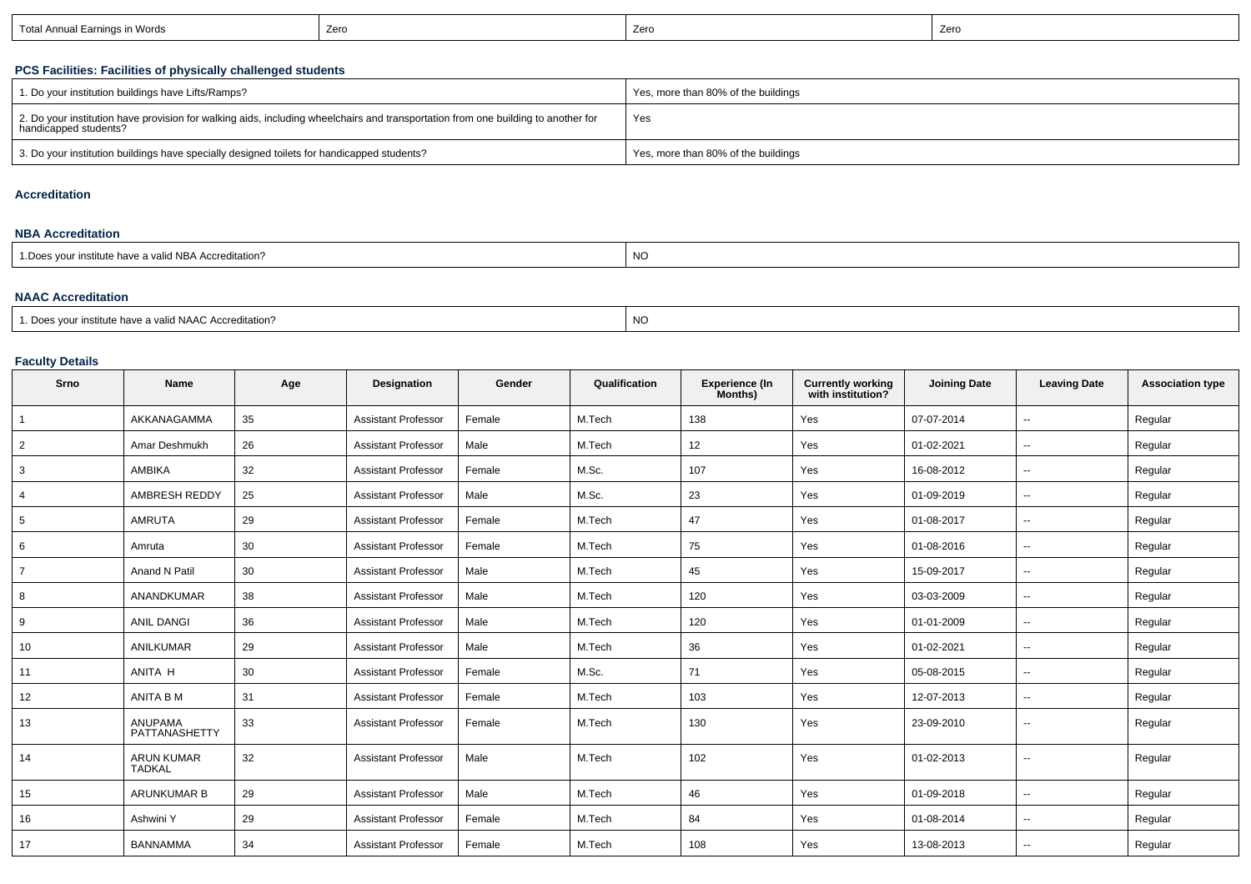| Earnings in Words<br>Total Annual L | Zerc | Zerc | Zero |
|-------------------------------------|------|------|------|
|-------------------------------------|------|------|------|

## **PCS Facilities: Facilities of physically challenged students**

| 1. Do your institution buildings have Lifts/Ramps?                                                                                                         | Yes, more than 80% of the buildings |
|------------------------------------------------------------------------------------------------------------------------------------------------------------|-------------------------------------|
| 2. Do your institution have provision for walking aids, including wheelchairs and transportation from one building to another for<br>handicapped students? | Yes                                 |
| 3. Do your institution buildings have specially designed toilets for handicapped students?                                                                 | Yes, more than 80% of the buildings |

#### **Accreditation**

#### **NBA Accreditation**

| * Does vour institute have a valid NBA Accreditation? | $\overline{M}$<br>יעו |
|-------------------------------------------------------|-----------------------|
|-------------------------------------------------------|-----------------------|

### **NAAC Accreditation**

| 1. Does your institute have a valid NAAC Accreditation? | <b>NC</b> |
|---------------------------------------------------------|-----------|
|---------------------------------------------------------|-----------|

### **Faculty Details**

| Srno            | <b>Name</b>                        | Age | Designation                | Gender | Qualification | <b>Experience (In</b><br>Months) | <b>Currently working</b><br>with institution? | <b>Joining Date</b> | <b>Leaving Date</b>      | <b>Association type</b> |
|-----------------|------------------------------------|-----|----------------------------|--------|---------------|----------------------------------|-----------------------------------------------|---------------------|--------------------------|-------------------------|
|                 | AKKANAGAMMA                        | 35  | <b>Assistant Professor</b> | Female | M.Tech        | 138                              | Yes                                           | 07-07-2014          | $\sim$                   | Regular                 |
| $\overline{2}$  | Amar Deshmukh                      | 26  | <b>Assistant Professor</b> | Male   | M.Tech        | 12 <sup>2</sup>                  | Yes                                           | 01-02-2021          | $\overline{a}$           | Regular                 |
| 3               | AMBIKA                             | 32  | <b>Assistant Professor</b> | Female | M.Sc.         | 107                              | Yes                                           | 16-08-2012          | $\sim$                   | Regular                 |
| 4               | AMBRESH REDDY                      | 25  | <b>Assistant Professor</b> | Male   | M.Sc.         | 23                               | Yes                                           | 01-09-2019          | $\sim$                   | Regular                 |
| $5\phantom{.0}$ | <b>AMRUTA</b>                      | 29  | <b>Assistant Professor</b> | Female | M.Tech        | 47                               | Yes                                           | 01-08-2017          | $\sim$                   | Regular                 |
| 6               | Amruta                             | 30  | <b>Assistant Professor</b> | Female | M.Tech        | 75                               | Yes                                           | 01-08-2016          | $\sim$                   | Regular                 |
| $\overline{7}$  | Anand N Patil                      | 30  | <b>Assistant Professor</b> | Male   | M.Tech        | 45                               | Yes                                           | 15-09-2017          | $\sim$                   | Regular                 |
| 8               | <b>ANANDKUMAR</b>                  | 38  | <b>Assistant Professor</b> | Male   | M.Tech        | 120                              | Yes                                           | 03-03-2009          | $\sim$                   | Regular                 |
| 9               | <b>ANIL DANGI</b>                  | 36  | <b>Assistant Professor</b> | Male   | M.Tech        | 120                              | Yes                                           | 01-01-2009          | $\overline{\phantom{a}}$ | Regular                 |
| 10              | <b>ANILKUMAR</b>                   | 29  | <b>Assistant Professor</b> | Male   | M.Tech        | 36                               | Yes                                           | 01-02-2021          | $\overline{\phantom{a}}$ | Regular                 |
| 11              | ANITA H                            | 30  | <b>Assistant Professor</b> | Female | M.Sc.         | 71                               | Yes                                           | 05-08-2015          | $\sim$                   | Regular                 |
| 12              | ANITA B M                          | 31  | <b>Assistant Professor</b> | Female | M.Tech        | 103                              | Yes                                           | 12-07-2013          | $\overline{\phantom{a}}$ | Regular                 |
| 13              | <b>ANUPAMA</b><br>PATTANASHETTY    | 33  | <b>Assistant Professor</b> | Female | M.Tech        | 130                              | Yes                                           | 23-09-2010          | $\overline{\phantom{a}}$ | Regular                 |
| 14              | <b>ARUN KUMAR</b><br><b>TADKAL</b> | 32  | <b>Assistant Professor</b> | Male   | M.Tech        | 102                              | Yes                                           | 01-02-2013          |                          | Regular                 |
| 15              | <b>ARUNKUMAR B</b>                 | 29  | <b>Assistant Professor</b> | Male   | M.Tech        | 46                               | Yes                                           | 01-09-2018          | $\sim$                   | Regular                 |
| 16              | Ashwini Y                          | 29  | <b>Assistant Professor</b> | Female | M.Tech        | 84                               | Yes                                           | 01-08-2014          | $\sim$                   | Regular                 |
| 17              | <b>BANNAMMA</b>                    | 34  | <b>Assistant Professor</b> | Female | M.Tech        | 108                              | Yes                                           | 13-08-2013          |                          | Regular                 |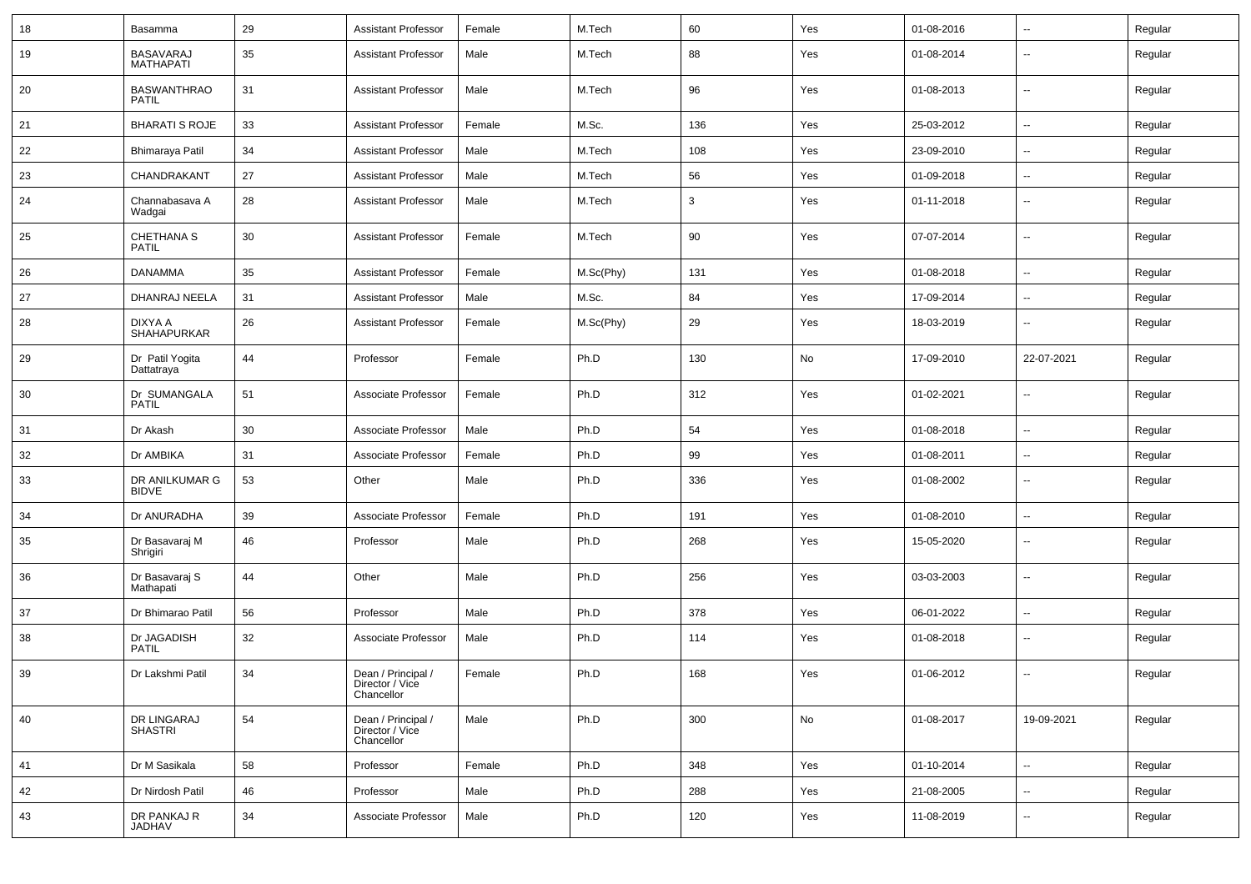| 18 | Basamma                              | 29 | <b>Assistant Professor</b>                          | Female | M.Tech    | 60  | Yes | 01-08-2016 | ⊶.                       | Regular |
|----|--------------------------------------|----|-----------------------------------------------------|--------|-----------|-----|-----|------------|--------------------------|---------|
| 19 | <b>BASAVARAJ</b><br><b>MATHAPATI</b> | 35 | <b>Assistant Professor</b>                          | Male   | M.Tech    | 88  | Yes | 01-08-2014 | $\overline{\phantom{a}}$ | Regular |
| 20 | <b>BASWANTHRAO</b><br><b>PATIL</b>   | 31 | <b>Assistant Professor</b>                          | Male   | M.Tech    | 96  | Yes | 01-08-2013 | $\overline{\phantom{a}}$ | Regular |
| 21 | <b>BHARATI S ROJE</b>                | 33 | <b>Assistant Professor</b>                          | Female | M.Sc.     | 136 | Yes | 25-03-2012 | Ξ.                       | Regular |
| 22 | Bhimaraya Patil                      | 34 | <b>Assistant Professor</b>                          | Male   | M.Tech    | 108 | Yes | 23-09-2010 | $\overline{\phantom{a}}$ | Regular |
| 23 | CHANDRAKANT                          | 27 | <b>Assistant Professor</b>                          | Male   | M.Tech    | 56  | Yes | 01-09-2018 | --                       | Regular |
| 24 | Channabasava A<br>Wadgai             | 28 | <b>Assistant Professor</b>                          | Male   | M.Tech    | 3   | Yes | 01-11-2018 | ⊷.                       | Regular |
| 25 | CHETHANA S<br><b>PATIL</b>           | 30 | <b>Assistant Professor</b>                          | Female | M.Tech    | 90  | Yes | 07-07-2014 | $\mathbf{u}$             | Regular |
| 26 | <b>DANAMMA</b>                       | 35 | <b>Assistant Professor</b>                          | Female | M.Sc(Phy) | 131 | Yes | 01-08-2018 | $\sim$                   | Regular |
| 27 | DHANRAJ NEELA                        | 31 | <b>Assistant Professor</b>                          | Male   | M.Sc.     | 84  | Yes | 17-09-2014 | ⊶.                       | Regular |
| 28 | DIXYA A<br><b>SHAHAPURKAR</b>        | 26 | <b>Assistant Professor</b>                          | Female | M.Sc(Phy) | 29  | Yes | 18-03-2019 | ⊷.                       | Regular |
| 29 | Dr Patil Yogita<br>Dattatraya        | 44 | Professor                                           | Female | Ph.D      | 130 | No  | 17-09-2010 | 22-07-2021               | Regular |
| 30 | Dr SUMANGALA<br><b>PATIL</b>         | 51 | Associate Professor                                 | Female | Ph.D      | 312 | Yes | 01-02-2021 | ⊷.                       | Regular |
| 31 | Dr Akash                             | 30 | Associate Professor                                 | Male   | Ph.D      | 54  | Yes | 01-08-2018 | ⊶.                       | Regular |
| 32 | Dr AMBIKA                            | 31 | Associate Professor                                 | Female | Ph.D      | 99  | Yes | 01-08-2011 | $\sim$                   | Regular |
| 33 | DR ANILKUMAR G<br><b>BIDVE</b>       | 53 | Other                                               | Male   | Ph.D      | 336 | Yes | 01-08-2002 | --                       | Regular |
| 34 | Dr ANURADHA                          | 39 | Associate Professor                                 | Female | Ph.D      | 191 | Yes | 01-08-2010 | $\overline{\phantom{a}}$ | Regular |
| 35 | Dr Basavaraj M<br>Shrigiri           | 46 | Professor                                           | Male   | Ph.D      | 268 | Yes | 15-05-2020 | -−                       | Regular |
| 36 | Dr Basavaraj S<br>Mathapati          | 44 | Other                                               | Male   | Ph.D      | 256 | Yes | 03-03-2003 | --                       | Regular |
| 37 | Dr Bhimarao Patil                    | 56 | Professor                                           | Male   | Ph.D      | 378 | Yes | 06-01-2022 | ⊷.                       | Regular |
| 38 | Dr JAGADISH<br><b>PATIL</b>          | 32 | Associate Professor                                 | Male   | Ph.D      | 114 | Yes | 01-08-2018 | ⊷.                       | Regular |
| 39 | Dr Lakshmi Patil                     | 34 | Dean / Principal /<br>Director / Vice<br>Chancellor | Female | Ph.D      | 168 | Yes | 01-06-2012 | $\overline{\phantom{a}}$ | Regular |
| 40 | DR LINGARAJ<br><b>SHASTRI</b>        | 54 | Dean / Principal /<br>Director / Vice<br>Chancellor | Male   | Ph.D      | 300 | No  | 01-08-2017 | 19-09-2021               | Regular |
| 41 | Dr M Sasikala                        | 58 | Professor                                           | Female | Ph.D      | 348 | Yes | 01-10-2014 | $\overline{\phantom{a}}$ | Regular |
| 42 | Dr Nirdosh Patil                     | 46 | Professor                                           | Male   | Ph.D      | 288 | Yes | 21-08-2005 | н.                       | Regular |
| 43 | DR PANKAJ R<br>JADHAV                | 34 | Associate Professor                                 | Male   | Ph.D      | 120 | Yes | 11-08-2019 | $\overline{\phantom{a}}$ | Regular |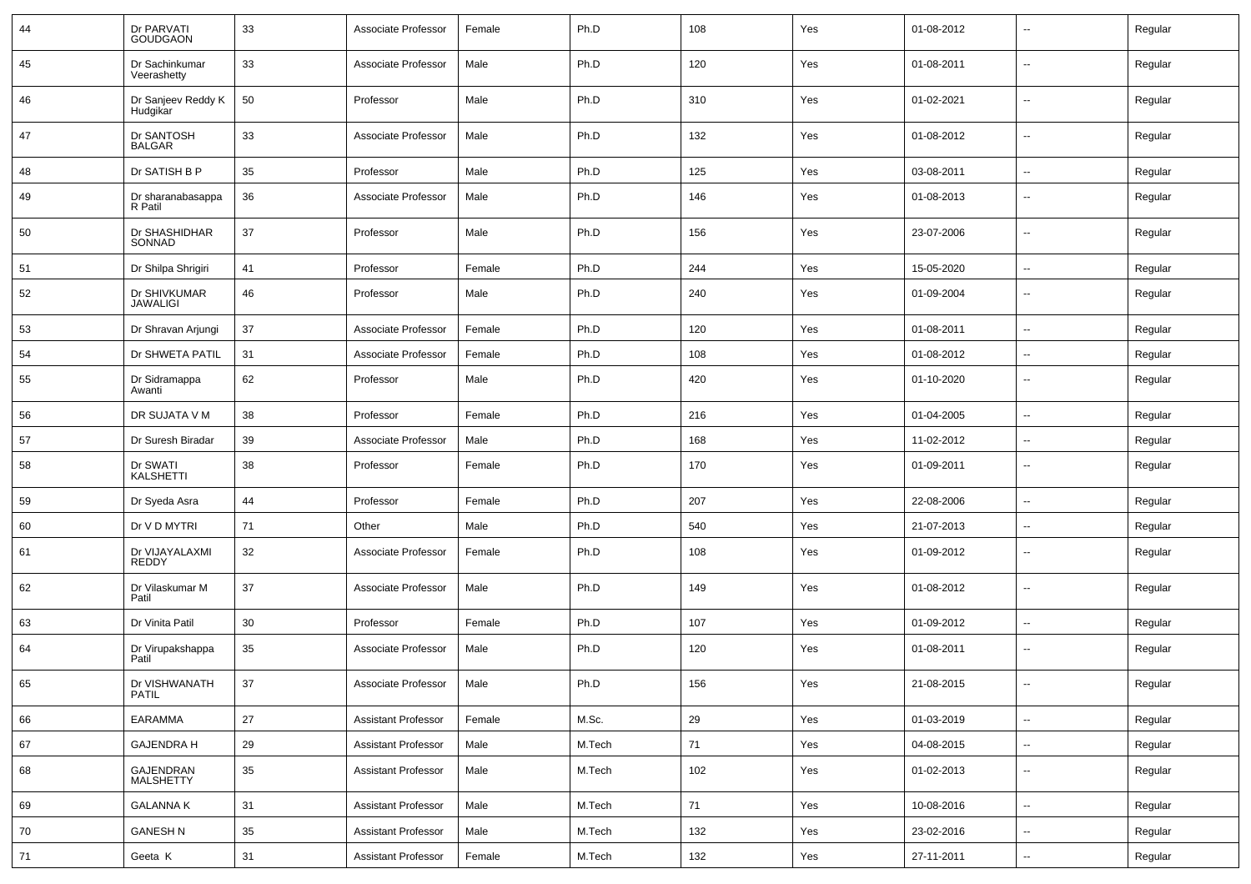| 44 | Dr PARVATI<br><b>GOUDGAON</b>   | 33 | Associate Professor        | Female | Ph.D   | 108 | Yes | 01-08-2012 | $\sim$                   | Regular |
|----|---------------------------------|----|----------------------------|--------|--------|-----|-----|------------|--------------------------|---------|
| 45 | Dr Sachinkumar<br>Veerashetty   | 33 | Associate Professor        | Male   | Ph.D   | 120 | Yes | 01-08-2011 | $\sim$                   | Regular |
| 46 | Dr Sanjeev Reddy K<br>Hudgikar  | 50 | Professor                  | Male   | Ph.D   | 310 | Yes | 01-02-2021 | $\sim$                   | Regular |
| 47 | Dr SANTOSH<br><b>BALGAR</b>     | 33 | Associate Professor        | Male   | Ph.D   | 132 | Yes | 01-08-2012 | $\sim$                   | Regular |
| 48 | Dr SATISH B P                   | 35 | Professor                  | Male   | Ph.D   | 125 | Yes | 03-08-2011 | $\sim$                   | Regular |
| 49 | Dr sharanabasappa<br>R Patil    | 36 | Associate Professor        | Male   | Ph.D   | 146 | Yes | 01-08-2013 | $\overline{\phantom{a}}$ | Regular |
| 50 | Dr SHASHIDHAR<br>SONNAD         | 37 | Professor                  | Male   | Ph.D   | 156 | Yes | 23-07-2006 | $\overline{\phantom{a}}$ | Regular |
| 51 | Dr Shilpa Shrigiri              | 41 | Professor                  | Female | Ph.D   | 244 | Yes | 15-05-2020 | $\overline{\phantom{a}}$ | Regular |
| 52 | Dr SHIVKUMAR<br><b>JAWALIGI</b> | 46 | Professor                  | Male   | Ph.D   | 240 | Yes | 01-09-2004 | $\sim$                   | Regular |
| 53 | Dr Shravan Arjungi              | 37 | Associate Professor        | Female | Ph.D   | 120 | Yes | 01-08-2011 | $\overline{\phantom{a}}$ | Regular |
| 54 | Dr SHWETA PATIL                 | 31 | Associate Professor        | Female | Ph.D   | 108 | Yes | 01-08-2012 | $\overline{\phantom{a}}$ | Regular |
| 55 | Dr Sidramappa<br>Awanti         | 62 | Professor                  | Male   | Ph.D   | 420 | Yes | 01-10-2020 | $\overline{\phantom{a}}$ | Regular |
| 56 | DR SUJATA V M                   | 38 | Professor                  | Female | Ph.D   | 216 | Yes | 01-04-2005 | $\overline{\phantom{a}}$ | Regular |
| 57 | Dr Suresh Biradar               | 39 | Associate Professor        | Male   | Ph.D   | 168 | Yes | 11-02-2012 | $\sim$                   | Regular |
| 58 | Dr SWATI<br><b>KALSHETTI</b>    | 38 | Professor                  | Female | Ph.D   | 170 | Yes | 01-09-2011 | $\sim$                   | Regular |
| 59 | Dr Syeda Asra                   | 44 | Professor                  | Female | Ph.D   | 207 | Yes | 22-08-2006 | $\sim$                   | Regular |
| 60 | Dr V D MYTRI                    | 71 | Other                      | Male   | Ph.D   | 540 | Yes | 21-07-2013 | $\overline{\phantom{a}}$ | Regular |
| 61 | Dr VIJAYALAXMI<br><b>REDDY</b>  | 32 | Associate Professor        | Female | Ph.D   | 108 | Yes | 01-09-2012 | $\sim$                   | Regular |
| 62 | Dr Vilaskumar M<br>Patil        | 37 | Associate Professor        | Male   | Ph.D   | 149 | Yes | 01-08-2012 | $\overline{\phantom{a}}$ | Regular |
| 63 | Dr Vinita Patil                 | 30 | Professor                  | Female | Ph.D   | 107 | Yes | 01-09-2012 | $\sim$                   | Regular |
| 64 | Dr Virupakshappa<br>Patil       | 35 | Associate Professor        | Male   | Ph.D   | 120 | Yes | 01-08-2011 | $\overline{\phantom{a}}$ | Regular |
| 65 | Dr VISHWANATH<br>PATIL          | 37 | Associate Professor        | Male   | Ph.D   | 156 | Yes | 21-08-2015 | $\overline{\phantom{a}}$ | Regular |
| 66 | EARAMMA                         | 27 | <b>Assistant Professor</b> | Female | M.Sc.  | 29  | Yes | 01-03-2019 | $\sim$                   | Regular |
| 67 | <b>GAJENDRA H</b>               | 29 | <b>Assistant Professor</b> | Male   | M.Tech | 71  | Yes | 04-08-2015 | $\sim$                   | Regular |
| 68 | GAJENDRAN<br>MALSHETTY          | 35 | <b>Assistant Professor</b> | Male   | M.Tech | 102 | Yes | 01-02-2013 | $\sim$                   | Regular |
| 69 | <b>GALANNAK</b>                 | 31 | <b>Assistant Professor</b> | Male   | M.Tech | 71  | Yes | 10-08-2016 | $\sim$                   | Regular |
| 70 | <b>GANESH N</b>                 | 35 | <b>Assistant Professor</b> | Male   | M.Tech | 132 | Yes | 23-02-2016 | $\sim$                   | Regular |
| 71 | Geeta K                         | 31 | <b>Assistant Professor</b> | Female | M.Tech | 132 | Yes | 27-11-2011 | $\sim$                   | Regular |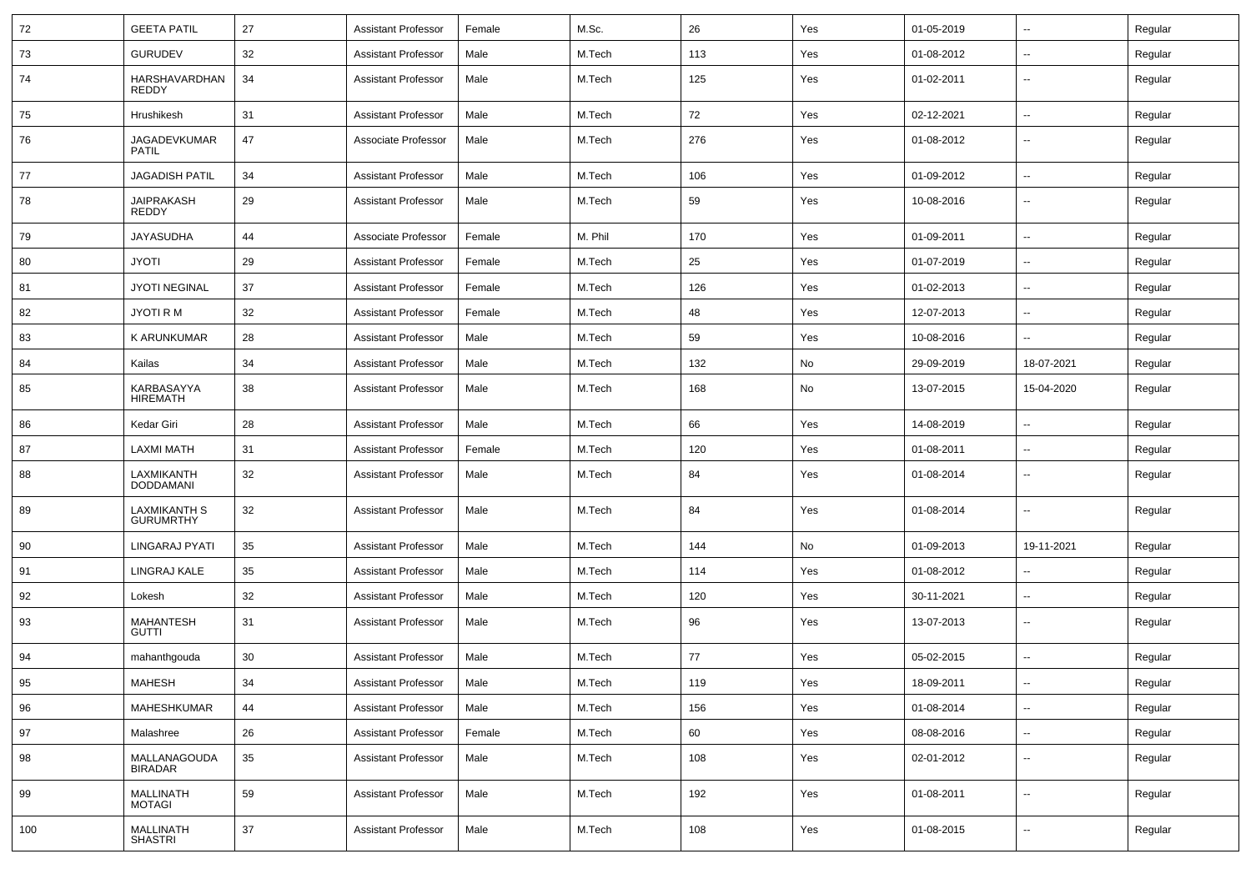| 72  | <b>GEETA PATIL</b>               | 27     | <b>Assistant Professor</b> | Female | M.Sc.   | 26  | Yes | 01-05-2019 | $\sim$                   | Regular |
|-----|----------------------------------|--------|----------------------------|--------|---------|-----|-----|------------|--------------------------|---------|
| 73  | <b>GURUDEV</b>                   | 32     | <b>Assistant Professor</b> | Male   | M.Tech  | 113 | Yes | 01-08-2012 | Ξ.                       | Regular |
| 74  | HARSHAVARDHAN<br>REDDY           | 34     | <b>Assistant Professor</b> | Male   | M.Tech  | 125 | Yes | 01-02-2011 | $\sim$                   | Regular |
| 75  | Hrushikesh                       | 31     | <b>Assistant Professor</b> | Male   | M.Tech  | 72  | Yes | 02-12-2021 | Ξ.                       | Regular |
| 76  | JAGADEVKUMAR<br><b>PATIL</b>     | 47     | Associate Professor        | Male   | M.Tech  | 276 | Yes | 01-08-2012 | $-$                      | Regular |
| 77  | <b>JAGADISH PATIL</b>            | 34     | <b>Assistant Professor</b> | Male   | M.Tech  | 106 | Yes | 01-09-2012 | $\overline{a}$           | Regular |
| 78  | JAIPRAKASH<br>REDDY              | 29     | <b>Assistant Professor</b> | Male   | M.Tech  | 59  | Yes | 10-08-2016 | $\overline{a}$           | Regular |
| 79  | <b>JAYASUDHA</b>                 | 44     | Associate Professor        | Female | M. Phil | 170 | Yes | 01-09-2011 | $\sim$                   | Regular |
| 80  | <b>JYOTI</b>                     | 29     | <b>Assistant Professor</b> | Female | M.Tech  | 25  | Yes | 01-07-2019 | $\sim$                   | Regular |
| 81  | <b>JYOTI NEGINAL</b>             | 37     | <b>Assistant Professor</b> | Female | M.Tech  | 126 | Yes | 01-02-2013 | $\sim$                   | Regular |
| 82  | <b>JYOTI RM</b>                  | 32     | <b>Assistant Professor</b> | Female | M.Tech  | 48  | Yes | 12-07-2013 | Ξ.                       | Regular |
| 83  | <b>K ARUNKUMAR</b>               | 28     | <b>Assistant Professor</b> | Male   | M.Tech  | 59  | Yes | 10-08-2016 | $\overline{\phantom{a}}$ | Regular |
| 84  | Kailas                           | 34     | <b>Assistant Professor</b> | Male   | M.Tech  | 132 | No  | 29-09-2019 | 18-07-2021               | Regular |
| 85  | KARBASAYYA<br><b>HIREMATH</b>    | 38     | <b>Assistant Professor</b> | Male   | M.Tech  | 168 | No  | 13-07-2015 | 15-04-2020               | Regular |
| 86  | Kedar Giri                       | 28     | <b>Assistant Professor</b> | Male   | M.Tech  | 66  | Yes | 14-08-2019 | $\overline{\phantom{a}}$ | Regular |
| 87  | <b>LAXMI MATH</b>                | 31     | <b>Assistant Professor</b> | Female | M.Tech  | 120 | Yes | 01-08-2011 | $\sim$                   | Regular |
| 88  | LAXMIKANTH<br><b>DODDAMANI</b>   | 32     | <b>Assistant Professor</b> | Male   | M.Tech  | 84  | Yes | 01-08-2014 | $\sim$                   | Regular |
| 89  | LAXMIKANTH S<br><b>GURUMRTHY</b> | 32     | <b>Assistant Professor</b> | Male   | M.Tech  | 84  | Yes | 01-08-2014 | $\sim$                   | Regular |
| 90  | LINGARAJ PYATI                   | 35     | <b>Assistant Professor</b> | Male   | M.Tech  | 144 | No  | 01-09-2013 | 19-11-2021               | Regular |
| 91  | LINGRAJ KALE                     | 35     | <b>Assistant Professor</b> | Male   | M.Tech  | 114 | Yes | 01-08-2012 | $\sim$                   | Regular |
| 92  | Lokesh                           | 32     | <b>Assistant Professor</b> | Male   | M.Tech  | 120 | Yes | 30-11-2021 | $\overline{\phantom{a}}$ | Regular |
| 93  | <b>MAHANTESH</b><br><b>GUTTI</b> | 31     | <b>Assistant Professor</b> | Male   | M.Tech  | 96  | Yes | 13-07-2013 | $\overline{\phantom{a}}$ | Regular |
| 94  | mahanthgouda                     | 30     | <b>Assistant Professor</b> | Male   | M.Tech  | 77  | Yes | 05-02-2015 | $\overline{a}$           | Regular |
| 95  | MAHESH                           | $34\,$ | Assistant Professor        | Male   | M.Tech  | 119 | Yes | 18-09-2011 |                          | Regular |
| 96  | MAHESHKUMAR                      | 44     | Assistant Professor        | Male   | M.Tech  | 156 | Yes | 01-08-2014 | ц.                       | Regular |
| 97  | Malashree                        | 26     | <b>Assistant Professor</b> | Female | M.Tech  | 60  | Yes | 08-08-2016 | ц.                       | Regular |
| 98  | MALLANAGOUDA<br>BIRADAR          | $35\,$ | <b>Assistant Professor</b> | Male   | M.Tech  | 108 | Yes | 02-01-2012 | $\overline{\phantom{a}}$ | Regular |
| 99  | MALLINATH<br>MOTAGI              | 59     | <b>Assistant Professor</b> | Male   | M.Tech  | 192 | Yes | 01-08-2011 | ω.                       | Regular |
| 100 | MALLINATH<br>SHASTRI             | $37\,$ | <b>Assistant Professor</b> | Male   | M.Tech  | 108 | Yes | 01-08-2015 | $\overline{\phantom{a}}$ | Regular |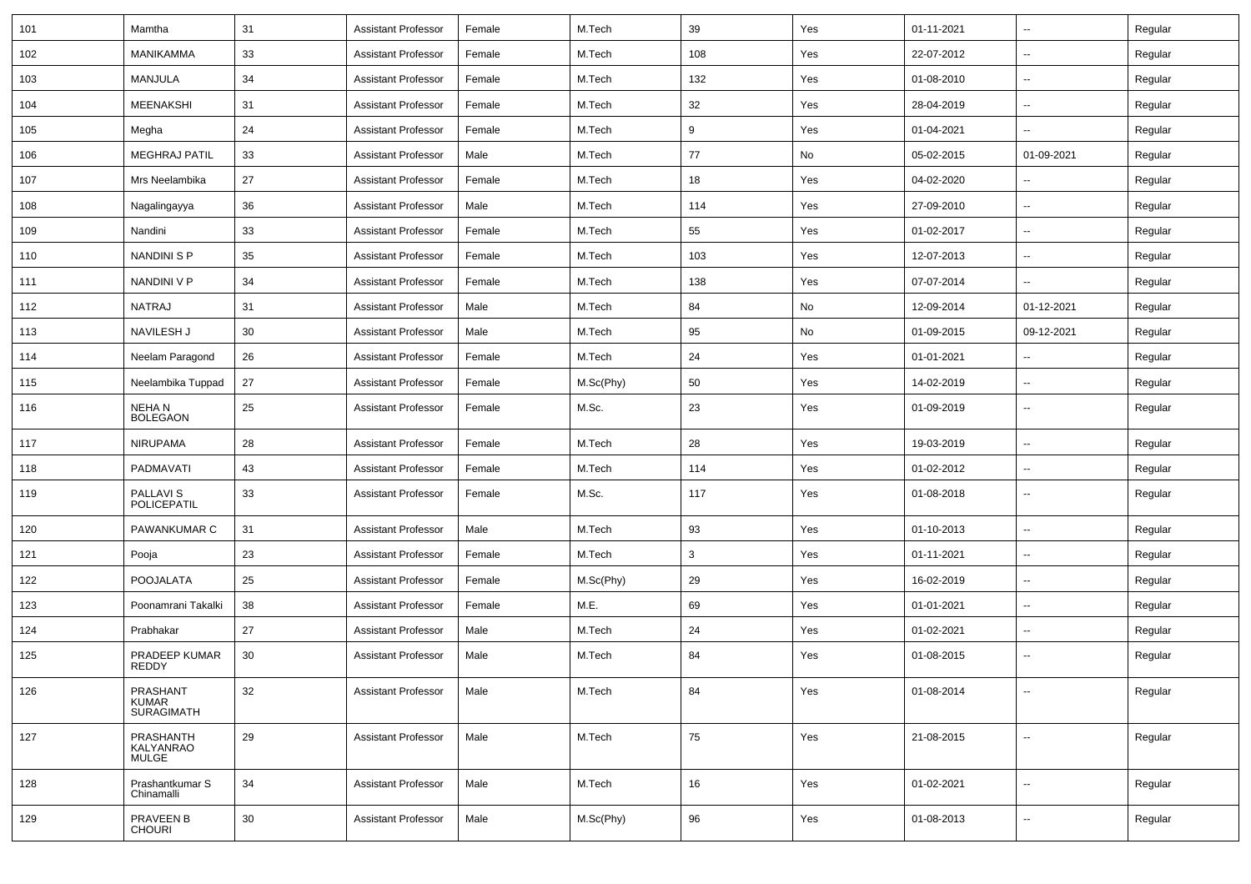| 101 | Mamtha                                        | 31 | <b>Assistant Professor</b> | Female | M.Tech    | 39  | Yes | 01-11-2021 | $\overline{\phantom{a}}$ | Regular |
|-----|-----------------------------------------------|----|----------------------------|--------|-----------|-----|-----|------------|--------------------------|---------|
| 102 | <b>MANIKAMMA</b>                              | 33 | <b>Assistant Professor</b> | Female | M.Tech    | 108 | Yes | 22-07-2012 | --                       | Regular |
| 103 | MANJULA                                       | 34 | <b>Assistant Professor</b> | Female | M.Tech    | 132 | Yes | 01-08-2010 | $\overline{\phantom{a}}$ | Regular |
| 104 | MEENAKSHI                                     | 31 | <b>Assistant Professor</b> | Female | M.Tech    | 32  | Yes | 28-04-2019 | $\overline{a}$           | Regular |
| 105 | Megha                                         | 24 | <b>Assistant Professor</b> | Female | M.Tech    | 9   | Yes | 01-04-2021 | --                       | Regular |
| 106 | <b>MEGHRAJ PATIL</b>                          | 33 | <b>Assistant Professor</b> | Male   | M.Tech    | 77  | No  | 05-02-2015 | 01-09-2021               | Regular |
| 107 | Mrs Neelambika                                | 27 | <b>Assistant Professor</b> | Female | M.Tech    | 18  | Yes | 04-02-2020 | $\overline{\phantom{a}}$ | Regular |
| 108 | Nagalingayya                                  | 36 | <b>Assistant Professor</b> | Male   | M.Tech    | 114 | Yes | 27-09-2010 | --                       | Regular |
| 109 | Nandini                                       | 33 | <b>Assistant Professor</b> | Female | M.Tech    | 55  | Yes | 01-02-2017 | $\overline{\phantom{a}}$ | Regular |
| 110 | <b>NANDINI S P</b>                            | 35 | <b>Assistant Professor</b> | Female | M.Tech    | 103 | Yes | 12-07-2013 | --                       | Regular |
| 111 | NANDINI V P                                   | 34 | <b>Assistant Professor</b> | Female | M.Tech    | 138 | Yes | 07-07-2014 |                          | Regular |
| 112 | <b>NATRAJ</b>                                 | 31 | <b>Assistant Professor</b> | Male   | M.Tech    | 84  | No  | 12-09-2014 | 01-12-2021               | Regular |
| 113 | NAVILESH J                                    | 30 | <b>Assistant Professor</b> | Male   | M.Tech    | 95  | No  | 01-09-2015 | 09-12-2021               | Regular |
| 114 | Neelam Paragond                               | 26 | <b>Assistant Professor</b> | Female | M.Tech    | 24  | Yes | 01-01-2021 | $\overline{\phantom{a}}$ | Regular |
| 115 | Neelambika Tuppad                             | 27 | <b>Assistant Professor</b> | Female | M.Sc(Phy) | 50  | Yes | 14-02-2019 | $\overline{\phantom{a}}$ | Regular |
| 116 | NEHA N<br><b>BOLEGAON</b>                     | 25 | <b>Assistant Professor</b> | Female | M.Sc.     | 23  | Yes | 01-09-2019 | --                       | Regular |
| 117 | <b>NIRUPAMA</b>                               | 28 | <b>Assistant Professor</b> | Female | M.Tech    | 28  | Yes | 19-03-2019 | $\overline{a}$           | Regular |
| 118 | PADMAVATI                                     | 43 | <b>Assistant Professor</b> | Female | M.Tech    | 114 | Yes | 01-02-2012 | --                       | Regular |
| 119 | <b>PALLAVIS</b><br>POLICEPATIL                | 33 | <b>Assistant Professor</b> | Female | M.Sc.     | 117 | Yes | 01-08-2018 | $\overline{\phantom{a}}$ | Regular |
| 120 | <b>PAWANKUMAR C</b>                           | 31 | <b>Assistant Professor</b> | Male   | M.Tech    | 93  | Yes | 01-10-2013 | $\overline{\phantom{a}}$ | Regular |
| 121 | Pooja                                         | 23 | <b>Assistant Professor</b> | Female | M.Tech    | 3   | Yes | 01-11-2021 | $\overline{\phantom{a}}$ | Regular |
| 122 | <b>POOJALATA</b>                              | 25 | <b>Assistant Professor</b> | Female | M.Sc(Phy) | 29  | Yes | 16-02-2019 | $\overline{\phantom{a}}$ | Regular |
| 123 | Poonamrani Takalki                            | 38 | <b>Assistant Professor</b> | Female | M.E.      | 69  | Yes | 01-01-2021 | $\overline{\phantom{a}}$ | Regular |
| 124 | Prabhakar                                     | 27 | <b>Assistant Professor</b> | Male   | M.Tech    | 24  | Yes | 01-02-2021 | $\overline{\phantom{a}}$ | Regular |
| 125 | PRADEEP KUMAR<br>REDDY                        | 30 | <b>Assistant Professor</b> | Male   | M.Tech    | 84  | Yes | 01-08-2015 |                          | Regular |
| 126 | PRASHANT<br><b>KUMAR</b><br><b>SURAGIMATH</b> | 32 | <b>Assistant Professor</b> | Male   | M.Tech    | 84  | Yes | 01-08-2014 | $\overline{\phantom{a}}$ | Regular |
| 127 | PRASHANTH<br>KALYANRAO<br><b>MULGE</b>        | 29 | <b>Assistant Professor</b> | Male   | M.Tech    | 75  | Yes | 21-08-2015 | $\overline{\phantom{a}}$ | Regular |
| 128 | Prashantkumar S<br>Chinamalli                 | 34 | <b>Assistant Professor</b> | Male   | M.Tech    | 16  | Yes | 01-02-2021 | $\sim$                   | Regular |
| 129 | PRAVEEN B<br><b>CHOURI</b>                    | 30 | <b>Assistant Professor</b> | Male   | M.Sc(Phy) | 96  | Yes | 01-08-2013 | $\sim$                   | Regular |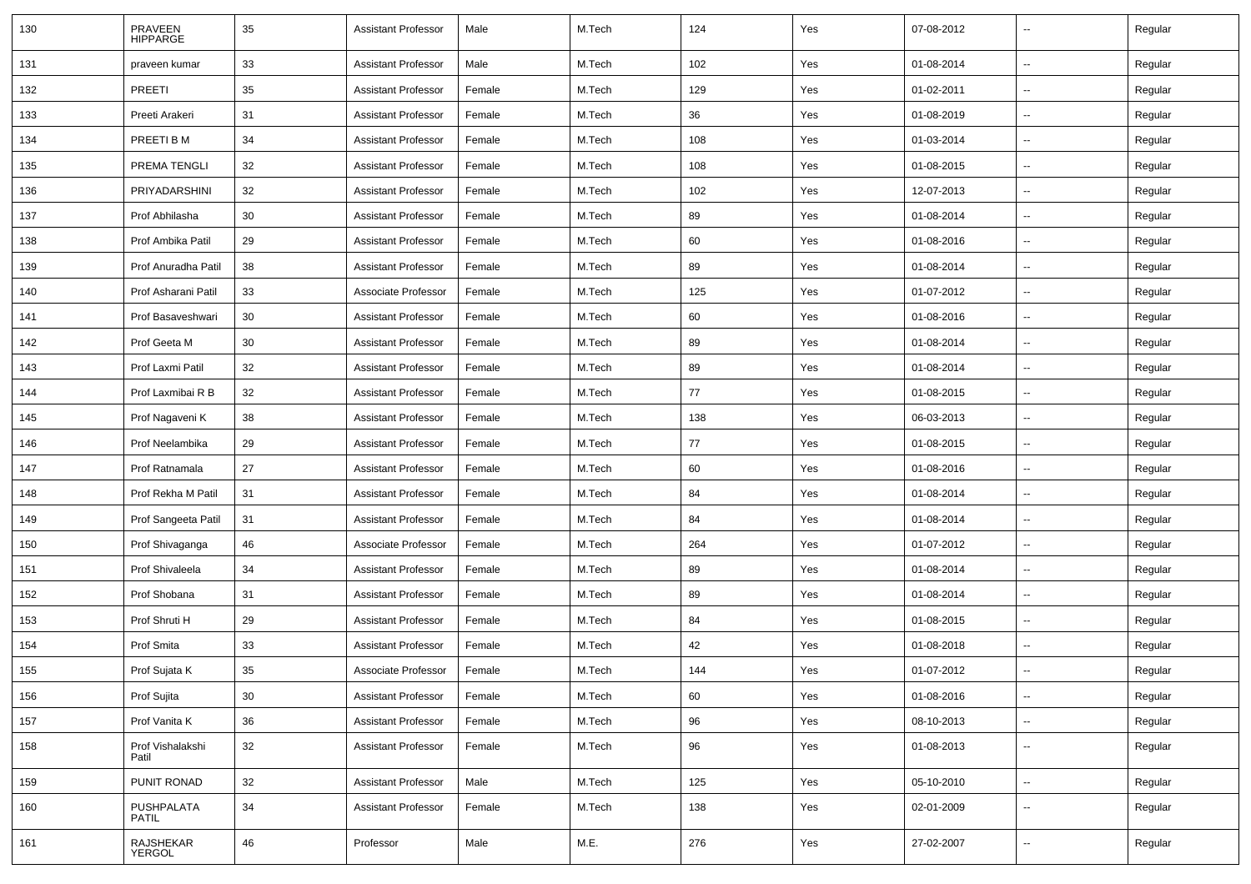| 130 | PRAVEEN<br>HIPPARGE       | 35 | <b>Assistant Professor</b> | Male   | M.Tech | 124 | Yes | 07-08-2012 | $\overline{\phantom{a}}$ | Regular |
|-----|---------------------------|----|----------------------------|--------|--------|-----|-----|------------|--------------------------|---------|
| 131 | praveen kumar             | 33 | <b>Assistant Professor</b> | Male   | M.Tech | 102 | Yes | 01-08-2014 | $\overline{\phantom{a}}$ | Regular |
| 132 | PREETI                    | 35 | <b>Assistant Professor</b> | Female | M.Tech | 129 | Yes | 01-02-2011 | --                       | Regular |
| 133 | Preeti Arakeri            | 31 | <b>Assistant Professor</b> | Female | M.Tech | 36  | Yes | 01-08-2019 | -−                       | Regular |
| 134 | PREETI B M                | 34 | <b>Assistant Professor</b> | Female | M.Tech | 108 | Yes | 01-03-2014 | --                       | Regular |
| 135 | PREMA TENGLI              | 32 | <b>Assistant Professor</b> | Female | M.Tech | 108 | Yes | 01-08-2015 | --                       | Regular |
| 136 | PRIYADARSHINI             | 32 | <b>Assistant Professor</b> | Female | M.Tech | 102 | Yes | 12-07-2013 | $\overline{\phantom{a}}$ | Regular |
| 137 | Prof Abhilasha            | 30 | <b>Assistant Professor</b> | Female | M.Tech | 89  | Yes | 01-08-2014 | $\overline{\phantom{a}}$ | Regular |
| 138 | Prof Ambika Patil         | 29 | <b>Assistant Professor</b> | Female | M.Tech | 60  | Yes | 01-08-2016 | -−                       | Regular |
| 139 | Prof Anuradha Patil       | 38 | <b>Assistant Professor</b> | Female | M.Tech | 89  | Yes | 01-08-2014 | $\overline{a}$           | Regular |
| 140 | Prof Asharani Patil       | 33 | Associate Professor        | Female | M.Tech | 125 | Yes | 01-07-2012 | $\overline{a}$           | Regular |
| 141 | Prof Basaveshwari         | 30 | <b>Assistant Professor</b> | Female | M.Tech | 60  | Yes | 01-08-2016 |                          | Regular |
| 142 | Prof Geeta M              | 30 | <b>Assistant Professor</b> | Female | M.Tech | 89  | Yes | 01-08-2014 | $\sim$                   | Regular |
| 143 | Prof Laxmi Patil          | 32 | <b>Assistant Professor</b> | Female | M.Tech | 89  | Yes | 01-08-2014 | $\overline{\phantom{a}}$ | Regular |
| 144 | Prof Laxmibai R B         | 32 | <b>Assistant Professor</b> | Female | M.Tech | 77  | Yes | 01-08-2015 | -−                       | Regular |
| 145 | Prof Nagaveni K           | 38 | <b>Assistant Professor</b> | Female | M.Tech | 138 | Yes | 06-03-2013 | $\overline{a}$           | Regular |
| 146 | Prof Neelambika           | 29 | <b>Assistant Professor</b> | Female | M.Tech | 77  | Yes | 01-08-2015 | $\overline{a}$           | Regular |
| 147 | Prof Ratnamala            | 27 | <b>Assistant Professor</b> | Female | M.Tech | 60  | Yes | 01-08-2016 | --                       | Regular |
| 148 | Prof Rekha M Patil        | 31 | <b>Assistant Professor</b> | Female | M.Tech | 84  | Yes | 01-08-2014 | $\overline{\phantom{a}}$ | Regular |
| 149 | Prof Sangeeta Patil       | 31 | <b>Assistant Professor</b> | Female | M.Tech | 84  | Yes | 01-08-2014 | н.                       | Regular |
| 150 | Prof Shivaganga           | 46 | Associate Professor        | Female | M.Tech | 264 | Yes | 01-07-2012 | --                       | Regular |
| 151 | Prof Shivaleela           | 34 | <b>Assistant Professor</b> | Female | M.Tech | 89  | Yes | 01-08-2014 | $\overline{\phantom{a}}$ | Regular |
| 152 | Prof Shobana              | 31 | <b>Assistant Professor</b> | Female | M.Tech | 89  | Yes | 01-08-2014 | $\overline{a}$           | Regular |
| 153 | Prof Shruti H             | 29 | <b>Assistant Professor</b> | Female | M.Tech | 84  | Yes | 01-08-2015 | --                       | Regular |
| 154 | Prof Smita                | 33 | <b>Assistant Professor</b> | Female | M.Tech | 42  | Yes | 01-08-2018 | $\sim$                   | Regular |
| 155 | Prof Sujata K             | 35 | Associate Professor        | Female | M.Tech | 144 | Yes | 01-07-2012 | -−                       | Regular |
| 156 | Prof Sujita               | 30 | <b>Assistant Professor</b> | Female | M.Tech | 60  | Yes | 01-08-2016 | $\overline{\phantom{a}}$ | Regular |
| 157 | Prof Vanita K             | 36 | <b>Assistant Professor</b> | Female | M.Tech | 96  | Yes | 08-10-2013 | $\sim$                   | Regular |
| 158 | Prof Vishalakshi<br>Patil | 32 | <b>Assistant Professor</b> | Female | M.Tech | 96  | Yes | 01-08-2013 | $\overline{\phantom{a}}$ | Regular |
| 159 | PUNIT RONAD               | 32 | <b>Assistant Professor</b> | Male   | M.Tech | 125 | Yes | 05-10-2010 | н.                       | Regular |
| 160 | PUSHPALATA<br>PATIL       | 34 | <b>Assistant Professor</b> | Female | M.Tech | 138 | Yes | 02-01-2009 | -−                       | Regular |
| 161 | RAJSHEKAR<br>YERGOL       | 46 | Professor                  | Male   | M.E.   | 276 | Yes | 27-02-2007 | --                       | Regular |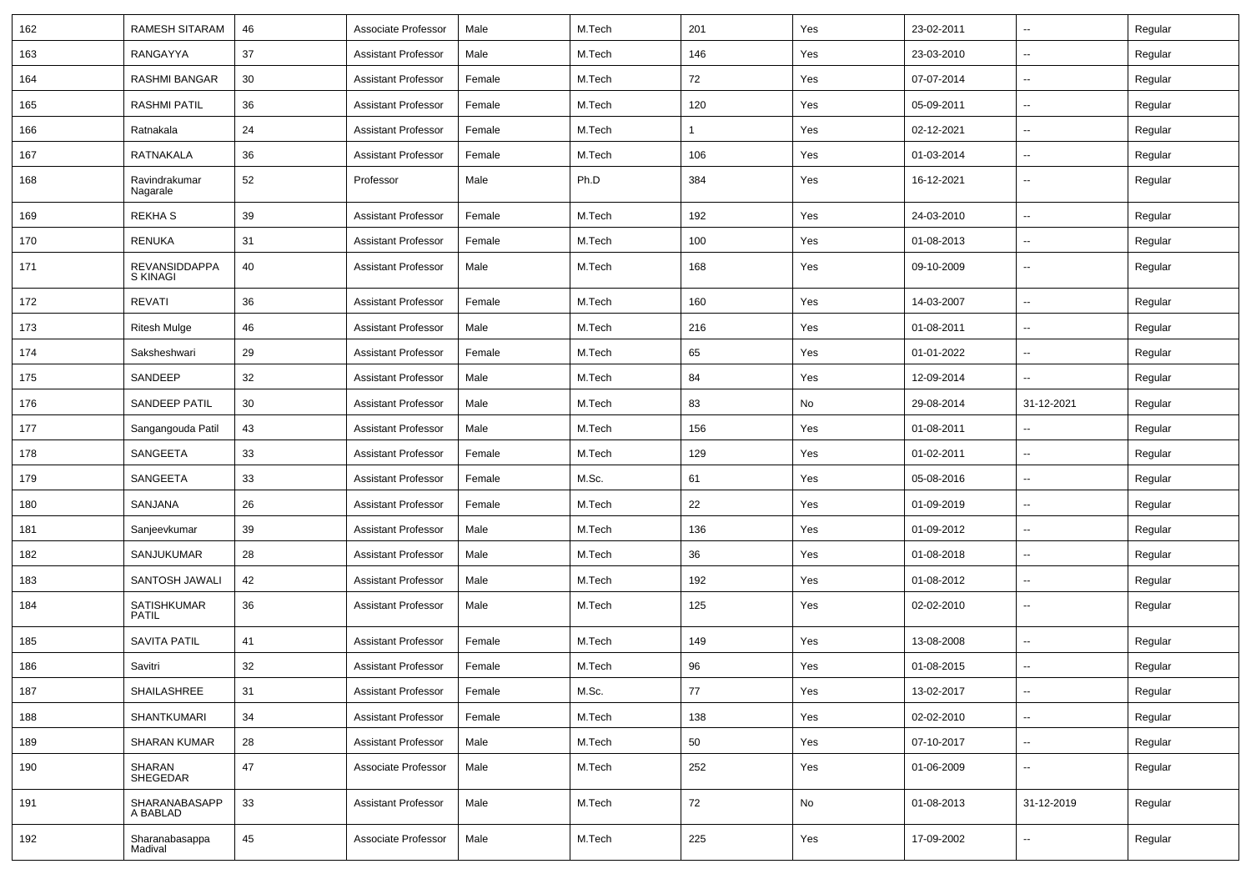| 162 | RAMESH SITARAM              | 46 | Associate Professor        | Male   | M.Tech | 201          | Yes | 23-02-2011 | $\overline{\phantom{a}}$ | Regular |
|-----|-----------------------------|----|----------------------------|--------|--------|--------------|-----|------------|--------------------------|---------|
| 163 | RANGAYYA                    | 37 | <b>Assistant Professor</b> | Male   | M.Tech | 146          | Yes | 23-03-2010 | $\sim$                   | Regular |
| 164 | RASHMI BANGAR               | 30 | Assistant Professor        | Female | M.Tech | 72           | Yes | 07-07-2014 |                          | Regular |
| 165 | <b>RASHMI PATIL</b>         | 36 | <b>Assistant Professor</b> | Female | M.Tech | 120          | Yes | 05-09-2011 | $\overline{\phantom{a}}$ | Regular |
| 166 | Ratnakala                   | 24 | Assistant Professor        | Female | M.Tech | $\mathbf{1}$ | Yes | 02-12-2021 | $\overline{\phantom{a}}$ | Regular |
| 167 | RATNAKALA                   | 36 | <b>Assistant Professor</b> | Female | M.Tech | 106          | Yes | 01-03-2014 | $\mathbf{u}$             | Regular |
| 168 | Ravindrakumar<br>Nagarale   | 52 | Professor                  | Male   | Ph.D   | 384          | Yes | 16-12-2021 | $\mathbf{u}$             | Regular |
| 169 | <b>REKHAS</b>               | 39 | <b>Assistant Professor</b> | Female | M.Tech | 192          | Yes | 24-03-2010 | $\overline{a}$           | Regular |
| 170 | RENUKA                      | 31 | Assistant Professor        | Female | M.Tech | 100          | Yes | 01-08-2013 | $\sim$                   | Regular |
| 171 | REVANSIDDAPPA<br>S KINAGI   | 40 | Assistant Professor        | Male   | M.Tech | 168          | Yes | 09-10-2009 | $\overline{\phantom{a}}$ | Regular |
| 172 | <b>REVATI</b>               | 36 | <b>Assistant Professor</b> | Female | M.Tech | 160          | Yes | 14-03-2007 | --                       | Regular |
| 173 | <b>Ritesh Mulge</b>         | 46 | <b>Assistant Professor</b> | Male   | M.Tech | 216          | Yes | 01-08-2011 |                          | Regular |
| 174 | Saksheshwari                | 29 | Assistant Professor        | Female | M.Tech | 65           | Yes | 01-01-2022 | $\overline{\phantom{a}}$ | Regular |
| 175 | SANDEEP                     | 32 | <b>Assistant Professor</b> | Male   | M.Tech | 84           | Yes | 12-09-2014 |                          | Regular |
| 176 | SANDEEP PATIL               | 30 | <b>Assistant Professor</b> | Male   | M.Tech | 83           | No  | 29-08-2014 | 31-12-2021               | Regular |
| 177 | Sangangouda Patil           | 43 | <b>Assistant Professor</b> | Male   | M.Tech | 156          | Yes | 01-08-2011 | $\sim$                   | Regular |
| 178 | SANGEETA                    | 33 | <b>Assistant Professor</b> | Female | M.Tech | 129          | Yes | 01-02-2011 | $\overline{\phantom{a}}$ | Regular |
| 179 | SANGEETA                    | 33 | <b>Assistant Professor</b> | Female | M.Sc.  | 61           | Yes | 05-08-2016 | $\mathbf{u}$             | Regular |
| 180 | SANJANA                     | 26 | Assistant Professor        | Female | M.Tech | 22           | Yes | 01-09-2019 | $\overline{\phantom{a}}$ | Regular |
| 181 | Sanjeevkumar                | 39 | <b>Assistant Professor</b> | Male   | M.Tech | 136          | Yes | 01-09-2012 | $\mathbf{u}$             | Regular |
| 182 | SANJUKUMAR                  | 28 | <b>Assistant Professor</b> | Male   | M.Tech | 36           | Yes | 01-08-2018 | $\mathbf{u}$             | Regular |
| 183 | SANTOSH JAWALI              | 42 | <b>Assistant Professor</b> | Male   | M.Tech | 192          | Yes | 01-08-2012 | $\sim$                   | Regular |
| 184 | SATISHKUMAR<br><b>PATIL</b> | 36 | <b>Assistant Professor</b> | Male   | M.Tech | 125          | Yes | 02-02-2010 | $\overline{\phantom{a}}$ | Regular |
| 185 | <b>SAVITA PATIL</b>         | 41 | <b>Assistant Professor</b> | Female | M.Tech | 149          | Yes | 13-08-2008 | $\sim$                   | Regular |
| 186 | Savitri                     | 32 | <b>Assistant Professor</b> | Female | M.Tech | 96           | Yes | 01-08-2015 |                          | Regular |
| 187 | SHAILASHREE                 | 31 | <b>Assistant Professor</b> | Female | M.Sc.  | $77$         | Yes | 13-02-2017 | $\overline{\phantom{a}}$ | Regular |
| 188 | <b>SHANTKUMARI</b>          | 34 | <b>Assistant Professor</b> | Female | M.Tech | 138          | Yes | 02-02-2010 | $\sim$                   | Regular |
| 189 | <b>SHARAN KUMAR</b>         | 28 | <b>Assistant Professor</b> | Male   | M.Tech | 50           | Yes | 07-10-2017 | $\sim$                   | Regular |
| 190 | SHARAN<br>SHEGEDAR          | 47 | Associate Professor        | Male   | M.Tech | 252          | Yes | 01-06-2009 | $\sim$                   | Regular |
| 191 | SHARANABASAPP<br>A BABLAD   | 33 | <b>Assistant Professor</b> | Male   | M.Tech | 72           | No  | 01-08-2013 | 31-12-2019               | Regular |
| 192 | Sharanabasappa<br>Madival   | 45 | Associate Professor        | Male   | M.Tech | 225          | Yes | 17-09-2002 | $\sim$                   | Regular |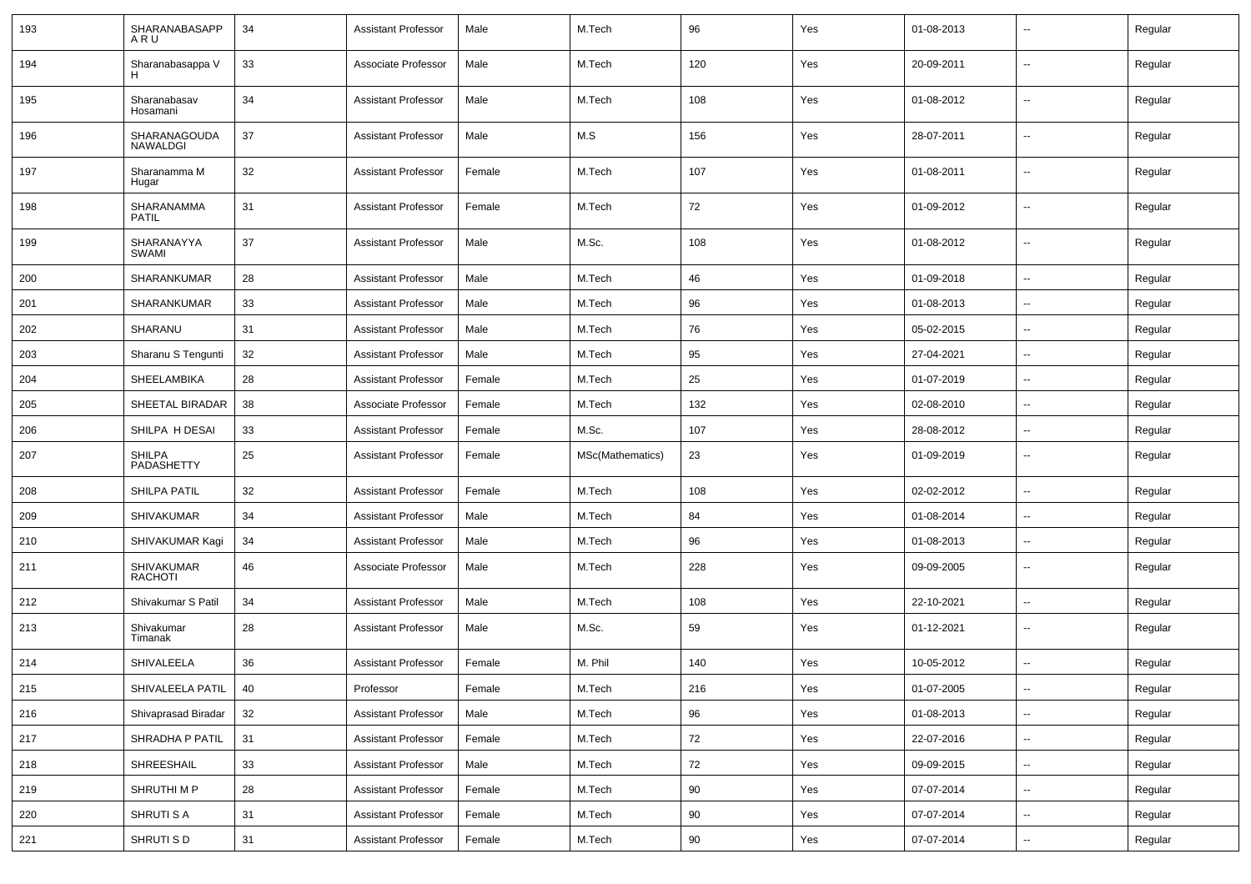| 193 | SHARANABASAPP<br>ARU        | 34 | <b>Assistant Professor</b> | Male   | M.Tech           | 96  | Yes | 01-08-2013 |                          | Regular |
|-----|-----------------------------|----|----------------------------|--------|------------------|-----|-----|------------|--------------------------|---------|
| 194 | Sharanabasappa V            | 33 | Associate Professor        | Male   | M.Tech           | 120 | Yes | 20-09-2011 | $\sim$                   | Regular |
| 195 | Sharanabasav<br>Hosamani    | 34 | <b>Assistant Professor</b> | Male   | M.Tech           | 108 | Yes | 01-08-2012 | $\sim$                   | Regular |
| 196 | SHARANAGOUDA<br>NAWALDGI    | 37 | <b>Assistant Professor</b> | Male   | M.S              | 156 | Yes | 28-07-2011 | $\sim$                   | Regular |
| 197 | Sharanamma M<br>Hugar       | 32 | <b>Assistant Professor</b> | Female | M.Tech           | 107 | Yes | 01-08-2011 | $\sim$                   | Regular |
| 198 | SHARANAMMA<br><b>PATIL</b>  | 31 | <b>Assistant Professor</b> | Female | M.Tech           | 72  | Yes | 01-09-2012 | $\sim$                   | Regular |
| 199 | SHARANAYYA<br>SWAMI         | 37 | <b>Assistant Professor</b> | Male   | M.Sc.            | 108 | Yes | 01-08-2012 | $\sim$                   | Regular |
| 200 | SHARANKUMAR                 | 28 | <b>Assistant Professor</b> | Male   | M.Tech           | 46  | Yes | 01-09-2018 | $\sim$                   | Regular |
| 201 | SHARANKUMAR                 | 33 | <b>Assistant Professor</b> | Male   | M.Tech           | 96  | Yes | 01-08-2013 | --                       | Regular |
| 202 | SHARANU                     | 31 | <b>Assistant Professor</b> | Male   | M.Tech           | 76  | Yes | 05-02-2015 | $\overline{\phantom{a}}$ | Regular |
| 203 | Sharanu S Tengunti          | 32 | <b>Assistant Professor</b> | Male   | M.Tech           | 95  | Yes | 27-04-2021 | $\overline{\phantom{a}}$ | Regular |
| 204 | SHEELAMBIKA                 | 28 | <b>Assistant Professor</b> | Female | M.Tech           | 25  | Yes | 01-07-2019 | $\sim$                   | Regular |
| 205 | SHEETAL BIRADAR             | 38 | Associate Professor        | Female | M.Tech           | 132 | Yes | 02-08-2010 | $\sim$                   | Regular |
| 206 | SHILPA H DESAI              | 33 | <b>Assistant Professor</b> | Female | M.Sc.            | 107 | Yes | 28-08-2012 | $\sim$                   | Regular |
| 207 | <b>SHILPA</b><br>PADASHETTY | 25 | <b>Assistant Professor</b> | Female | MSc(Mathematics) | 23  | Yes | 01-09-2019 | $\overline{a}$           | Regular |
| 208 | SHILPA PATIL                | 32 | <b>Assistant Professor</b> | Female | M.Tech           | 108 | Yes | 02-02-2012 | --                       | Regular |
| 209 | <b>SHIVAKUMAR</b>           | 34 | <b>Assistant Professor</b> | Male   | M.Tech           | 84  | Yes | 01-08-2014 |                          | Regular |
| 210 | SHIVAKUMAR Kagi             | 34 | <b>Assistant Professor</b> | Male   | M.Tech           | 96  | Yes | 01-08-2013 | $\overline{\phantom{a}}$ | Regular |
| 211 | SHIVAKUMAR<br>RACHOTI       | 46 | Associate Professor        | Male   | M.Tech           | 228 | Yes | 09-09-2005 | $\sim$                   | Regular |
| 212 | Shivakumar S Patil          | 34 | <b>Assistant Professor</b> | Male   | M.Tech           | 108 | Yes | 22-10-2021 | $\overline{a}$           | Regular |
| 213 | Shivakumar<br>Timanak       | 28 | <b>Assistant Professor</b> | Male   | M.Sc.            | 59  | Yes | 01-12-2021 | $\sim$                   | Regular |
| 214 | SHIVALEELA                  | 36 | <b>Assistant Professor</b> | Female | M. Phil          | 140 | Yes | 10-05-2012 | $\sim$                   | Regular |
| 215 | SHIVALEELA PATIL   40       |    | Professor                  | Female | M.Tech           | 216 | Yes | 01-07-2005 | $\sim$                   | Regular |
| 216 | Shivaprasad Biradar         | 32 | <b>Assistant Professor</b> | Male   | M.Tech           | 96  | Yes | 01-08-2013 | u.                       | Regular |
| 217 | SHRADHA P PATIL             | 31 | <b>Assistant Professor</b> | Female | M.Tech           | 72  | Yes | 22-07-2016 | $\sim$                   | Regular |
| 218 | SHREESHAIL                  | 33 | <b>Assistant Professor</b> | Male   | M.Tech           | 72  | Yes | 09-09-2015 | $\sim$                   | Regular |
| 219 | SHRUTHI M P                 | 28 | <b>Assistant Professor</b> | Female | M.Tech           | 90  | Yes | 07-07-2014 | $\overline{\phantom{a}}$ | Regular |
| 220 | SHRUTI S A                  | 31 | <b>Assistant Professor</b> | Female | M.Tech           | 90  | Yes | 07-07-2014 | $\sim$                   | Regular |
| 221 | SHRUTI S D                  | 31 | <b>Assistant Professor</b> | Female | M.Tech           | 90  | Yes | 07-07-2014 | $\sim$                   | Regular |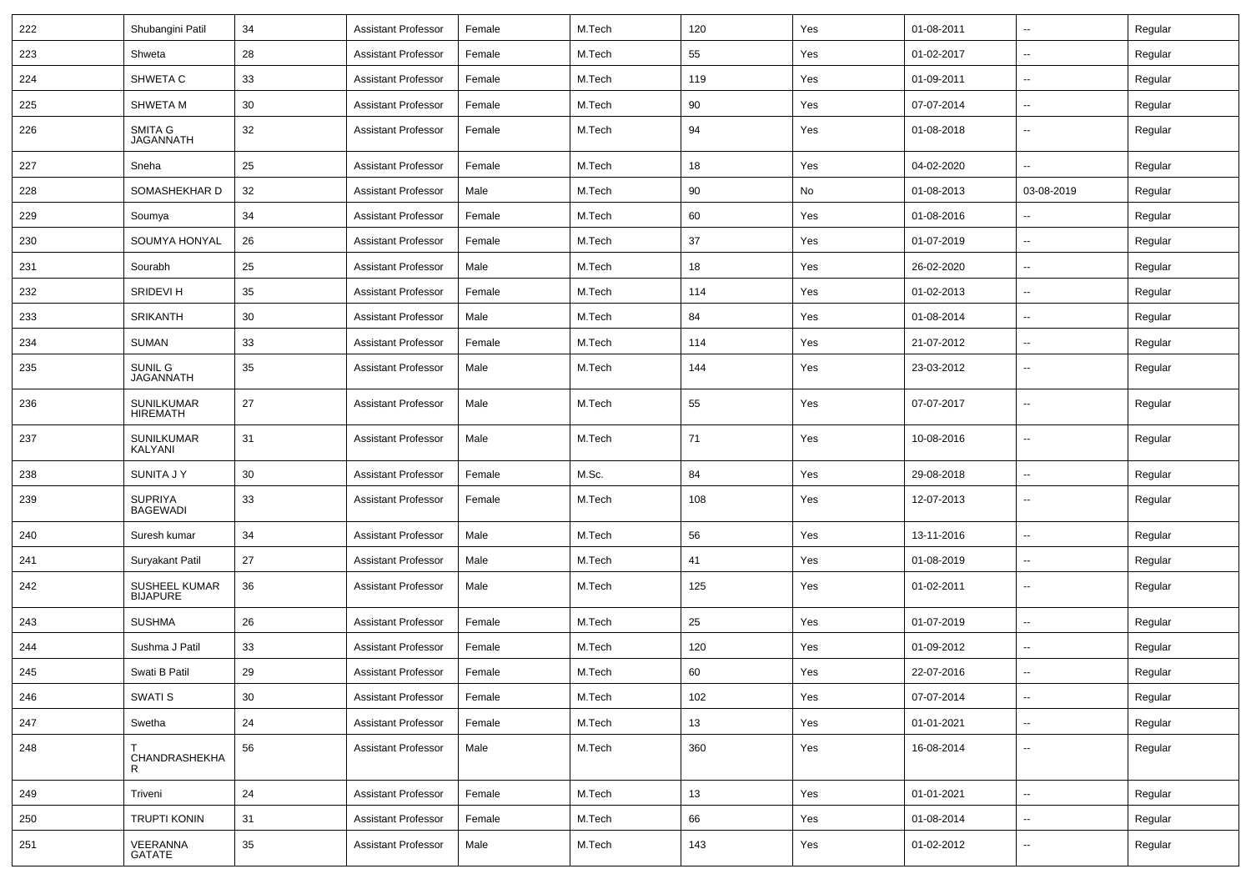| 222 | Shubangini Patil                     | 34     | <b>Assistant Professor</b> | Female | M.Tech | 120 | Yes | 01-08-2011 | $\sim$                   | Regular |
|-----|--------------------------------------|--------|----------------------------|--------|--------|-----|-----|------------|--------------------------|---------|
| 223 | Shweta                               | 28     | <b>Assistant Professor</b> | Female | M.Tech | 55  | Yes | 01-02-2017 | ۰.                       | Regular |
| 224 | SHWETA C                             | 33     | <b>Assistant Professor</b> | Female | M.Tech | 119 | Yes | 01-09-2011 | ۰.                       | Regular |
| 225 | <b>SHWETA M</b>                      | 30     | <b>Assistant Professor</b> | Female | M.Tech | 90  | Yes | 07-07-2014 | $\overline{a}$           | Regular |
| 226 | SMITA G<br><b>JAGANNATH</b>          | 32     | <b>Assistant Professor</b> | Female | M.Tech | 94  | Yes | 01-08-2018 | --                       | Regular |
| 227 | Sneha                                | 25     | <b>Assistant Professor</b> | Female | M.Tech | 18  | Yes | 04-02-2020 |                          | Regular |
| 228 | SOMASHEKHAR D                        | 32     | <b>Assistant Professor</b> | Male   | M.Tech | 90  | No  | 01-08-2013 | 03-08-2019               | Regular |
| 229 | Soumya                               | 34     | Assistant Professor        | Female | M.Tech | 60  | Yes | 01-08-2016 | --                       | Regular |
| 230 | SOUMYA HONYAL                        | 26     | <b>Assistant Professor</b> | Female | M.Tech | 37  | Yes | 01-07-2019 | $\overline{a}$           | Regular |
| 231 | Sourabh                              | 25     | <b>Assistant Professor</b> | Male   | M.Tech | 18  | Yes | 26-02-2020 | $\overline{a}$           | Regular |
| 232 | SRIDEVI H                            | 35     | <b>Assistant Professor</b> | Female | M.Tech | 114 | Yes | 01-02-2013 | $\overline{a}$           | Regular |
| 233 | <b>SRIKANTH</b>                      | 30     | <b>Assistant Professor</b> | Male   | M.Tech | 84  | Yes | 01-08-2014 | --                       | Regular |
| 234 | <b>SUMAN</b>                         | 33     | <b>Assistant Professor</b> | Female | M.Tech | 114 | Yes | 21-07-2012 | $\overline{a}$           | Regular |
| 235 | SUNIL G<br><b>JAGANNATH</b>          | 35     | <b>Assistant Professor</b> | Male   | M.Tech | 144 | Yes | 23-03-2012 | --                       | Regular |
| 236 | <b>SUNILKUMAR</b><br><b>HIREMATH</b> | 27     | <b>Assistant Professor</b> | Male   | M.Tech | 55  | Yes | 07-07-2017 | $\sim$                   | Regular |
| 237 | <b>SUNILKUMAR</b><br>KALYANI         | 31     | <b>Assistant Professor</b> | Male   | M.Tech | 71  | Yes | 10-08-2016 | $\sim$                   | Regular |
| 238 | <b>SUNITA J Y</b>                    | 30     | <b>Assistant Professor</b> | Female | M.Sc.  | 84  | Yes | 29-08-2018 | ۰.                       | Regular |
| 239 | <b>SUPRIYA</b><br><b>BAGEWADI</b>    | 33     | <b>Assistant Professor</b> | Female | M.Tech | 108 | Yes | 12-07-2013 | ۰.                       | Regular |
| 240 | Suresh kumar                         | 34     | <b>Assistant Professor</b> | Male   | M.Tech | 56  | Yes | 13-11-2016 | $\overline{a}$           | Regular |
| 241 | Suryakant Patil                      | 27     | Assistant Professor        | Male   | M.Tech | 41  | Yes | 01-08-2019 | $\overline{\phantom{a}}$ | Regular |
| 242 | SUSHEEL KUMAR<br><b>BIJAPURE</b>     | 36     | <b>Assistant Professor</b> | Male   | M.Tech | 125 | Yes | 01-02-2011 | --                       | Regular |
| 243 | <b>SUSHMA</b>                        | 26     | <b>Assistant Professor</b> | Female | M.Tech | 25  | Yes | 01-07-2019 | $\overline{a}$           | Regular |
| 244 | Sushma J Patil                       | 33     | <b>Assistant Professor</b> | Female | M.Tech | 120 | Yes | 01-09-2012 | ۰.                       | Regular |
| 245 | Swati B Patil                        | 29     | <b>Assistant Professor</b> | Female | M.Tech | 60  | Yes | 22-07-2016 | $\overline{\phantom{a}}$ | Regular |
| 246 | SWATI S                              | 30     | <b>Assistant Professor</b> | Female | M.Tech | 102 | Yes | 07-07-2014 | $\sim$                   | Regular |
| 247 | Swetha                               | 24     | <b>Assistant Professor</b> | Female | M.Tech | 13  | Yes | 01-01-2021 | ⊷.                       | Regular |
| 248 | CHANDRASHEKHA<br>R.                  | 56     | <b>Assistant Professor</b> | Male   | M.Tech | 360 | Yes | 16-08-2014 | щ.                       | Regular |
| 249 | Triveni                              | 24     | <b>Assistant Professor</b> | Female | M.Tech | 13  | Yes | 01-01-2021 | н.                       | Regular |
| 250 | <b>TRUPTI KONIN</b>                  | 31     | <b>Assistant Professor</b> | Female | M.Tech | 66  | Yes | 01-08-2014 | щ.                       | Regular |
| 251 | VEERANNA<br>GATATE                   | $35\,$ | <b>Assistant Professor</b> | Male   | M.Tech | 143 | Yes | 01-02-2012 | --                       | Regular |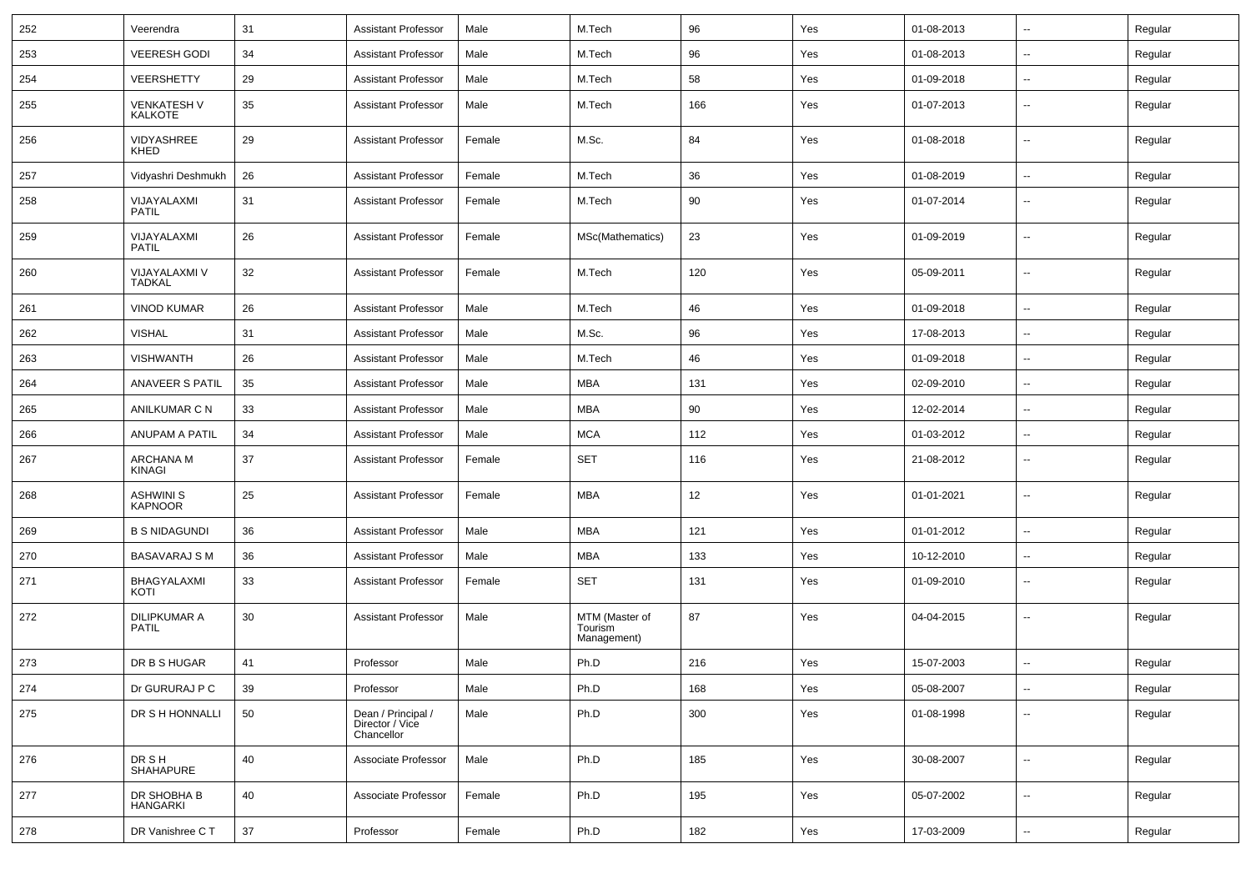| 252 | Veerendra                            | 31     | <b>Assistant Professor</b>                          | Male   | M.Tech                                   | 96  | Yes | 01-08-2013 | $\overline{\phantom{a}}$ | Regular |
|-----|--------------------------------------|--------|-----------------------------------------------------|--------|------------------------------------------|-----|-----|------------|--------------------------|---------|
| 253 | <b>VEERESH GODI</b>                  | 34     | <b>Assistant Professor</b>                          | Male   | M.Tech                                   | 96  | Yes | 01-08-2013 | $\overline{a}$           | Regular |
| 254 | <b>VEERSHETTY</b>                    | 29     | <b>Assistant Professor</b>                          | Male   | M.Tech                                   | 58  | Yes | 01-09-2018 | $\overline{\phantom{a}}$ | Regular |
| 255 | <b>VENKATESH V</b><br><b>KALKOTE</b> | 35     | <b>Assistant Professor</b>                          | Male   | M.Tech                                   | 166 | Yes | 01-07-2013 | --                       | Regular |
| 256 | VIDYASHREE<br>KHED                   | 29     | <b>Assistant Professor</b>                          | Female | M.Sc.                                    | 84  | Yes | 01-08-2018 | $\overline{\phantom{a}}$ | Regular |
| 257 | Vidyashri Deshmukh                   | 26     | <b>Assistant Professor</b>                          | Female | M.Tech                                   | 36  | Yes | 01-08-2019 | $\overline{\phantom{a}}$ | Regular |
| 258 | VIJAYALAXMI<br><b>PATIL</b>          | 31     | <b>Assistant Professor</b>                          | Female | M.Tech                                   | 90  | Yes | 01-07-2014 | $\overline{\phantom{a}}$ | Regular |
| 259 | VIJAYALAXMI<br><b>PATIL</b>          | 26     | <b>Assistant Professor</b>                          | Female | MSc(Mathematics)                         | 23  | Yes | 01-09-2019 | -−                       | Regular |
| 260 | VIJAYALAXMI V<br>TADKAL              | 32     | <b>Assistant Professor</b>                          | Female | M.Tech                                   | 120 | Yes | 05-09-2011 | $\mathbf{u}$             | Regular |
| 261 | <b>VINOD KUMAR</b>                   | 26     | <b>Assistant Professor</b>                          | Male   | M.Tech                                   | 46  | Yes | 01-09-2018 | $\overline{\phantom{a}}$ | Regular |
| 262 | <b>VISHAL</b>                        | 31     | <b>Assistant Professor</b>                          | Male   | M.Sc.                                    | 96  | Yes | 17-08-2013 | $\sim$                   | Regular |
| 263 | <b>VISHWANTH</b>                     | 26     | <b>Assistant Professor</b>                          | Male   | M.Tech                                   | 46  | Yes | 01-09-2018 | $\sim$                   | Regular |
| 264 | ANAVEER S PATIL                      | 35     | <b>Assistant Professor</b>                          | Male   | MBA                                      | 131 | Yes | 02-09-2010 | $\overline{a}$           | Regular |
| 265 | ANILKUMAR C N                        | 33     | <b>Assistant Professor</b>                          | Male   | MBA                                      | 90  | Yes | 12-02-2014 | --                       | Regular |
| 266 | ANUPAM A PATIL                       | 34     | <b>Assistant Professor</b>                          | Male   | <b>MCA</b>                               | 112 | Yes | 01-03-2012 | $\overline{\phantom{a}}$ | Regular |
| 267 | ARCHANA M<br>KINAGI                  | 37     | <b>Assistant Professor</b>                          | Female | <b>SET</b>                               | 116 | Yes | 21-08-2012 | $\sim$                   | Regular |
| 268 | ASHWINI S<br><b>KAPNOOR</b>          | 25     | <b>Assistant Professor</b>                          | Female | MBA                                      | 12  | Yes | 01-01-2021 | $\mathbf{u}$             | Regular |
| 269 | <b>B S NIDAGUNDI</b>                 | 36     | <b>Assistant Professor</b>                          | Male   | MBA                                      | 121 | Yes | 01-01-2012 | $\overline{\phantom{a}}$ | Regular |
| 270 | <b>BASAVARAJ S M</b>                 | 36     | <b>Assistant Professor</b>                          | Male   | MBA                                      | 133 | Yes | 10-12-2010 | $\sim$                   | Regular |
| 271 | BHAGYALAXMI<br>KOTI                  | 33     | <b>Assistant Professor</b>                          | Female | <b>SET</b>                               | 131 | Yes | 01-09-2010 | $\overline{\phantom{a}}$ | Regular |
| 272 | <b>DILIPKUMAR A</b><br><b>PATIL</b>  | 30     | <b>Assistant Professor</b>                          | Male   | MTM (Master of<br>Tourism<br>Management) | 87  | Yes | 04-04-2015 | ⊷.                       | Regular |
| 273 | DR B S HUGAR                         | 41     | Professor                                           | Male   | Ph.D                                     | 216 | Yes | 15-07-2003 | Ξ.                       | Regular |
| 274 | Dr GURURAJ P C                       | 39     | Professor                                           | Male   | Ph.D                                     | 168 | Yes | 05-08-2007 | $\sim$                   | Regular |
| 275 | DR S H HONNALLI                      | 50     | Dean / Principal /<br>Director / Vice<br>Chancellor | Male   | Ph.D                                     | 300 | Yes | 01-08-1998 | ш,                       | Regular |
| 276 | DR S H<br>SHAHAPURE                  | 40     | Associate Professor                                 | Male   | Ph.D                                     | 185 | Yes | 30-08-2007 | $\sim$                   | Regular |
| 277 | DR SHOBHA B<br><b>HANGARKI</b>       | 40     | Associate Professor                                 | Female | Ph.D                                     | 195 | Yes | 05-07-2002 | $\sim$                   | Regular |
| 278 | DR Vanishree CT                      | $37\,$ | Professor                                           | Female | Ph.D                                     | 182 | Yes | 17-03-2009 | ₩,                       | Regular |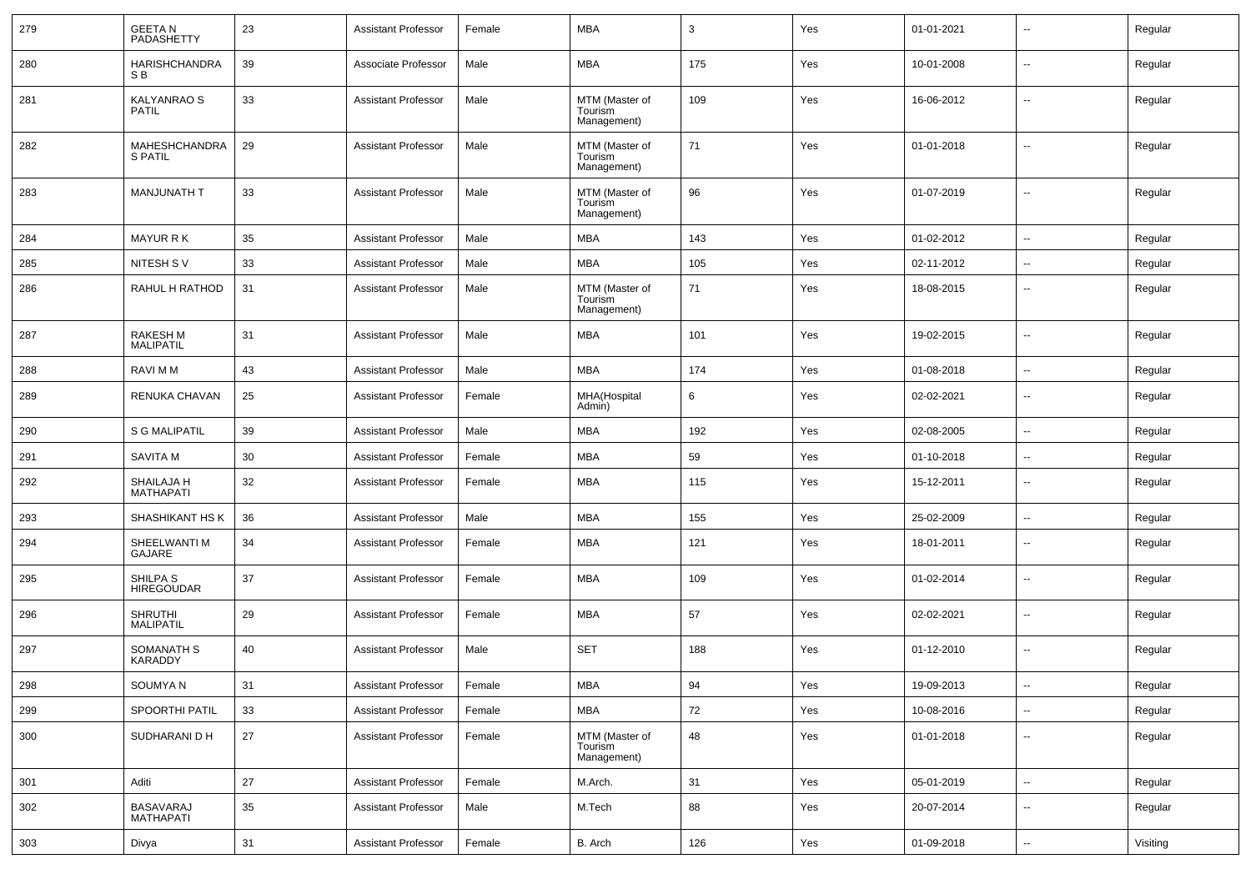| 279 | <b>GEETAN</b><br>PADASHETTY            | 23 | <b>Assistant Professor</b> | Female | <b>MBA</b>                               | 3   | Yes | 01-01-2021 | $\overline{\phantom{a}}$ | Regular  |
|-----|----------------------------------------|----|----------------------------|--------|------------------------------------------|-----|-----|------------|--------------------------|----------|
| 280 | <b>HARISHCHANDRA</b><br>S <sub>B</sub> | 39 | Associate Professor        | Male   | <b>MBA</b>                               | 175 | Yes | 10-01-2008 | $\overline{\phantom{a}}$ | Regular  |
| 281 | <b>KALYANRAO S</b><br><b>PATIL</b>     | 33 | <b>Assistant Professor</b> | Male   | MTM (Master of<br>Tourism<br>Management) | 109 | Yes | 16-06-2012 | $\overline{\phantom{a}}$ | Regular  |
| 282 | MAHESHCHANDRA<br>S PATIL               | 29 | <b>Assistant Professor</b> | Male   | MTM (Master of<br>Tourism<br>Management) | 71  | Yes | 01-01-2018 | $\overline{\phantom{a}}$ | Regular  |
| 283 | <b>MANJUNATH T</b>                     | 33 | <b>Assistant Professor</b> | Male   | MTM (Master of<br>Tourism<br>Management) | 96  | Yes | 01-07-2019 | $\mathbf{u}$             | Regular  |
| 284 | <b>MAYUR RK</b>                        | 35 | <b>Assistant Professor</b> | Male   | <b>MBA</b>                               | 143 | Yes | 01-02-2012 | ۵.                       | Regular  |
| 285 | NITESH SV                              | 33 | <b>Assistant Professor</b> | Male   | <b>MBA</b>                               | 105 | Yes | 02-11-2012 | $\overline{\phantom{a}}$ | Regular  |
| 286 | RAHUL H RATHOD                         | 31 | <b>Assistant Professor</b> | Male   | MTM (Master of<br>Tourism<br>Management) | 71  | Yes | 18-08-2015 | --                       | Regular  |
| 287 | <b>RAKESH M</b><br><b>MALIPATIL</b>    | 31 | <b>Assistant Professor</b> | Male   | <b>MBA</b>                               | 101 | Yes | 19-02-2015 | Ξ.                       | Regular  |
| 288 | RAVI M M                               | 43 | <b>Assistant Professor</b> | Male   | <b>MBA</b>                               | 174 | Yes | 01-08-2018 | $\mathbf{u}$             | Regular  |
| 289 | <b>RENUKA CHAVAN</b>                   | 25 | <b>Assistant Professor</b> | Female | MHA(Hospital<br>Admin)                   | 6   | Yes | 02-02-2021 | --                       | Regular  |
| 290 | <b>S G MALIPATIL</b>                   | 39 | <b>Assistant Professor</b> | Male   | <b>MBA</b>                               | 192 | Yes | 02-08-2005 | Ξ.                       | Regular  |
| 291 | <b>SAVITA M</b>                        | 30 | <b>Assistant Professor</b> | Female | <b>MBA</b>                               | 59  | Yes | 01-10-2018 | ⊷.                       | Regular  |
| 292 | SHAILAJA H<br><b>MATHAPATI</b>         | 32 | <b>Assistant Professor</b> | Female | <b>MBA</b>                               | 115 | Yes | 15-12-2011 | $\overline{\phantom{a}}$ | Regular  |
| 293 | SHASHIKANT HS K                        | 36 | <b>Assistant Professor</b> | Male   | <b>MBA</b>                               | 155 | Yes | 25-02-2009 | $\overline{\phantom{a}}$ | Regular  |
| 294 | SHEELWANTI M<br>GAJARE                 | 34 | <b>Assistant Professor</b> | Female | <b>MBA</b>                               | 121 | Yes | 18-01-2011 | $\overline{\phantom{a}}$ | Regular  |
| 295 | SHILPA S<br><b>HIREGOUDAR</b>          | 37 | <b>Assistant Professor</b> | Female | <b>MBA</b>                               | 109 | Yes | 01-02-2014 | $\overline{\phantom{a}}$ | Regular  |
| 296 | <b>SHRUTHI</b><br><b>MALIPATIL</b>     | 29 | <b>Assistant Professor</b> | Female | <b>MBA</b>                               | 57  | Yes | 02-02-2021 | $\overline{\phantom{a}}$ | Regular  |
| 297 | SOMANATH S<br><b>KARADDY</b>           | 40 | <b>Assistant Professor</b> | Male   | <b>SET</b>                               | 188 | Yes | 01-12-2010 | $\overline{\phantom{a}}$ | Regular  |
| 298 | SOUMYA N                               | 31 | Assistant Professor        | Female | MBA                                      | 94  | Yes | 19-09-2013 | ⊷.                       | Regular  |
| 299 | SPOORTHI PATIL                         | 33 | <b>Assistant Professor</b> | Female | <b>MBA</b>                               | 72  | Yes | 10-08-2016 | ш.                       | Regular  |
| 300 | SUDHARANI D H                          | 27 | <b>Assistant Professor</b> | Female | MTM (Master of<br>Tourism<br>Management) | 48  | Yes | 01-01-2018 | н.                       | Regular  |
| 301 | Aditi                                  | 27 | <b>Assistant Professor</b> | Female | M.Arch.                                  | 31  | Yes | 05-01-2019 | н.                       | Regular  |
| 302 | BASAVARAJ<br>MATHAPATI                 | 35 | <b>Assistant Professor</b> | Male   | M.Tech                                   | 88  | Yes | 20-07-2014 | н.                       | Regular  |
| 303 | Divya                                  | 31 | <b>Assistant Professor</b> | Female | B. Arch                                  | 126 | Yes | 01-09-2018 | $\sim$                   | Visiting |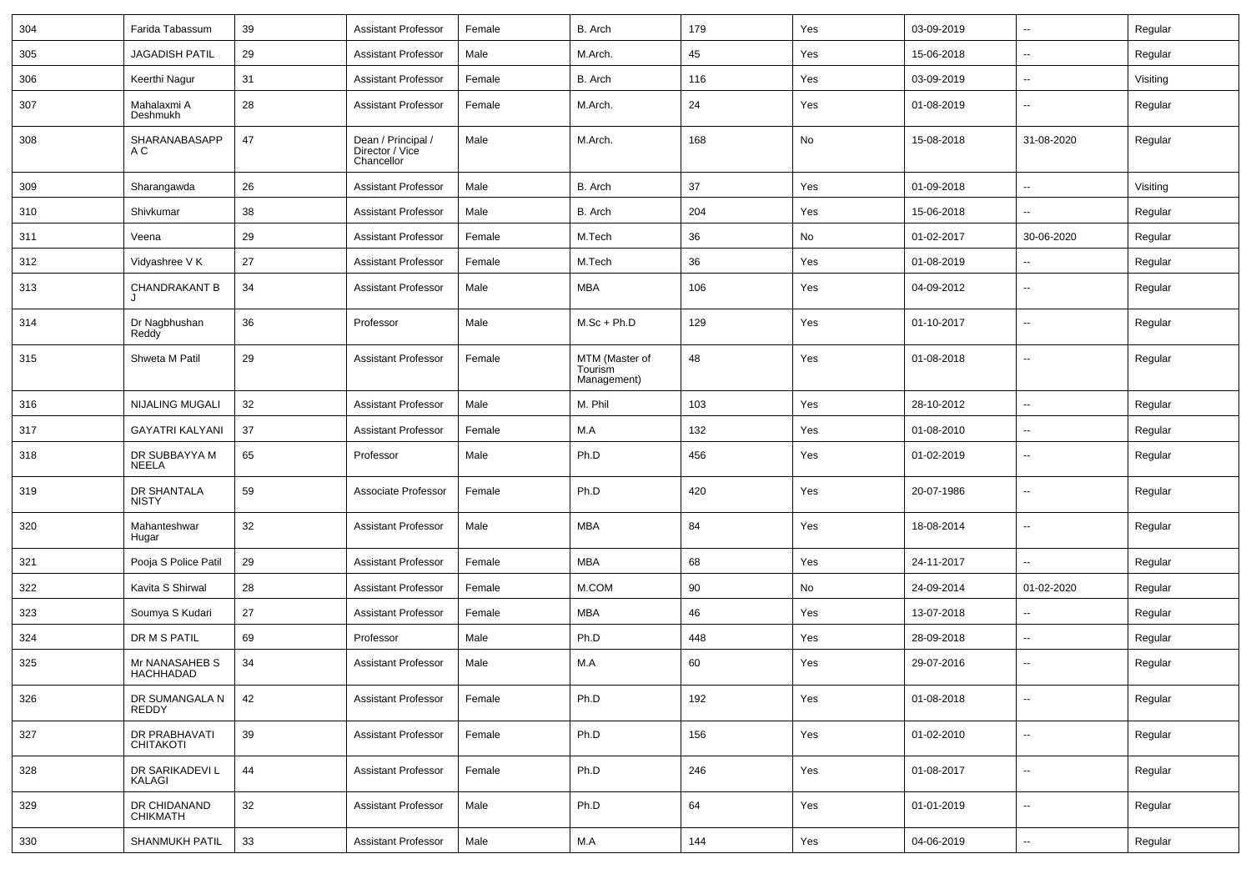| 304 | Farida Tabassum                | 39 | <b>Assistant Professor</b>                          | Female | B. Arch                                  | 179 | Yes | 03-09-2019 | $\overline{\phantom{a}}$ | Regular  |
|-----|--------------------------------|----|-----------------------------------------------------|--------|------------------------------------------|-----|-----|------------|--------------------------|----------|
| 305 | <b>JAGADISH PATIL</b>          | 29 | <b>Assistant Professor</b>                          | Male   | M.Arch.                                  | 45  | Yes | 15-06-2018 | $\overline{a}$           | Regular  |
| 306 | Keerthi Nagur                  | 31 | <b>Assistant Professor</b>                          | Female | B. Arch                                  | 116 | Yes | 03-09-2019 | $\overline{a}$           | Visiting |
| 307 | Mahalaxmi A<br>Deshmukh        | 28 | <b>Assistant Professor</b>                          | Female | M.Arch.                                  | 24  | Yes | 01-08-2019 | $\overline{a}$           | Regular  |
| 308 | SHARANABASAPP<br>A C           | 47 | Dean / Principal /<br>Director / Vice<br>Chancellor | Male   | M.Arch.                                  | 168 | No  | 15-08-2018 | 31-08-2020               | Regular  |
| 309 | Sharangawda                    | 26 | <b>Assistant Professor</b>                          | Male   | B. Arch                                  | 37  | Yes | 01-09-2018 | $\overline{a}$           | Visiting |
| 310 | Shivkumar                      | 38 | <b>Assistant Professor</b>                          | Male   | B. Arch                                  | 204 | Yes | 15-06-2018 | $\overline{a}$           | Regular  |
| 311 | Veena                          | 29 | Assistant Professor                                 | Female | M.Tech                                   | 36  | No  | 01-02-2017 | 30-06-2020               | Regular  |
| 312 | Vidyashree V K                 | 27 | <b>Assistant Professor</b>                          | Female | M.Tech                                   | 36  | Yes | 01-08-2019 | Ξ.                       | Regular  |
| 313 | <b>CHANDRAKANT B</b>           | 34 | <b>Assistant Professor</b>                          | Male   | <b>MBA</b>                               | 106 | Yes | 04-09-2012 | ۰.                       | Regular  |
| 314 | Dr Nagbhushan<br>Reddy         | 36 | Professor                                           | Male   | $M.Sc + Ph.D$                            | 129 | Yes | 01-10-2017 | $\overline{\phantom{a}}$ | Regular  |
| 315 | Shweta M Patil                 | 29 | <b>Assistant Professor</b>                          | Female | MTM (Master of<br>Tourism<br>Management) | 48  | Yes | 01-08-2018 | $\overline{\phantom{a}}$ | Regular  |
| 316 | <b>NIJALING MUGALI</b>         | 32 | <b>Assistant Professor</b>                          | Male   | M. Phil                                  | 103 | Yes | 28-10-2012 | $\overline{a}$           | Regular  |
| 317 | <b>GAYATRI KALYANI</b>         | 37 | <b>Assistant Professor</b>                          | Female | M.A                                      | 132 | Yes | 01-08-2010 | ⊷.                       | Regular  |
| 318 | DR SUBBAYYA M<br><b>NEELA</b>  | 65 | Professor                                           | Male   | Ph.D                                     | 456 | Yes | 01-02-2019 | ۰.                       | Regular  |
| 319 | DR SHANTALA<br><b>NISTY</b>    | 59 | Associate Professor                                 | Female | Ph.D                                     | 420 | Yes | 20-07-1986 | $\overline{\phantom{a}}$ | Regular  |
| 320 | Mahanteshwar<br>Hugar          | 32 | Assistant Professor                                 | Male   | <b>MBA</b>                               | 84  | Yes | 18-08-2014 | ⊷.                       | Regular  |
| 321 | Pooja S Police Patil           | 29 | Assistant Professor                                 | Female | <b>MBA</b>                               | 68  | Yes | 24-11-2017 | $\overline{a}$           | Regular  |
| 322 | Kavita S Shirwal               | 28 | <b>Assistant Professor</b>                          | Female | M.COM                                    | 90  | No  | 24-09-2014 | 01-02-2020               | Regular  |
| 323 | Soumya S Kudari                | 27 | Assistant Professor                                 | Female | <b>MBA</b>                               | 46  | Yes | 13-07-2018 | --                       | Regular  |
| 324 | DR M S PATIL                   | 69 | Professor                                           | Male   | Ph.D                                     | 448 | Yes | 28-09-2018 | $\overline{\phantom{a}}$ | Regular  |
| 325 | Mr NANASAHEB S<br>HACHHADAD    | 34 | <b>Assistant Professor</b>                          | Male   | M.A                                      | 60  | Yes | 29-07-2016 | $\overline{\phantom{a}}$ | Regular  |
| 326 | DR SUMANGALA N<br><b>REDDY</b> | 42 | Assistant Professor                                 | Female | Ph.D                                     | 192 | Yes | 01-08-2018 | $\sim$                   | Regular  |
| 327 | DR PRABHAVATI<br>CHITAKOTI     | 39 | <b>Assistant Professor</b>                          | Female | Ph.D                                     | 156 | Yes | 01-02-2010 | $\sim$                   | Regular  |
| 328 | DR SARIKADEVI L<br>KALAGI      | 44 | <b>Assistant Professor</b>                          | Female | Ph.D                                     | 246 | Yes | 01-08-2017 | $\sim$                   | Regular  |
| 329 | DR CHIDANAND<br>CHIKMATH       | 32 | Assistant Professor                                 | Male   | Ph.D                                     | 64  | Yes | 01-01-2019 | $\sim$                   | Regular  |
| 330 | SHANMUKH PATIL                 | 33 | <b>Assistant Professor</b>                          | Male   | M.A                                      | 144 | Yes | 04-06-2019 | $\sim$                   | Regular  |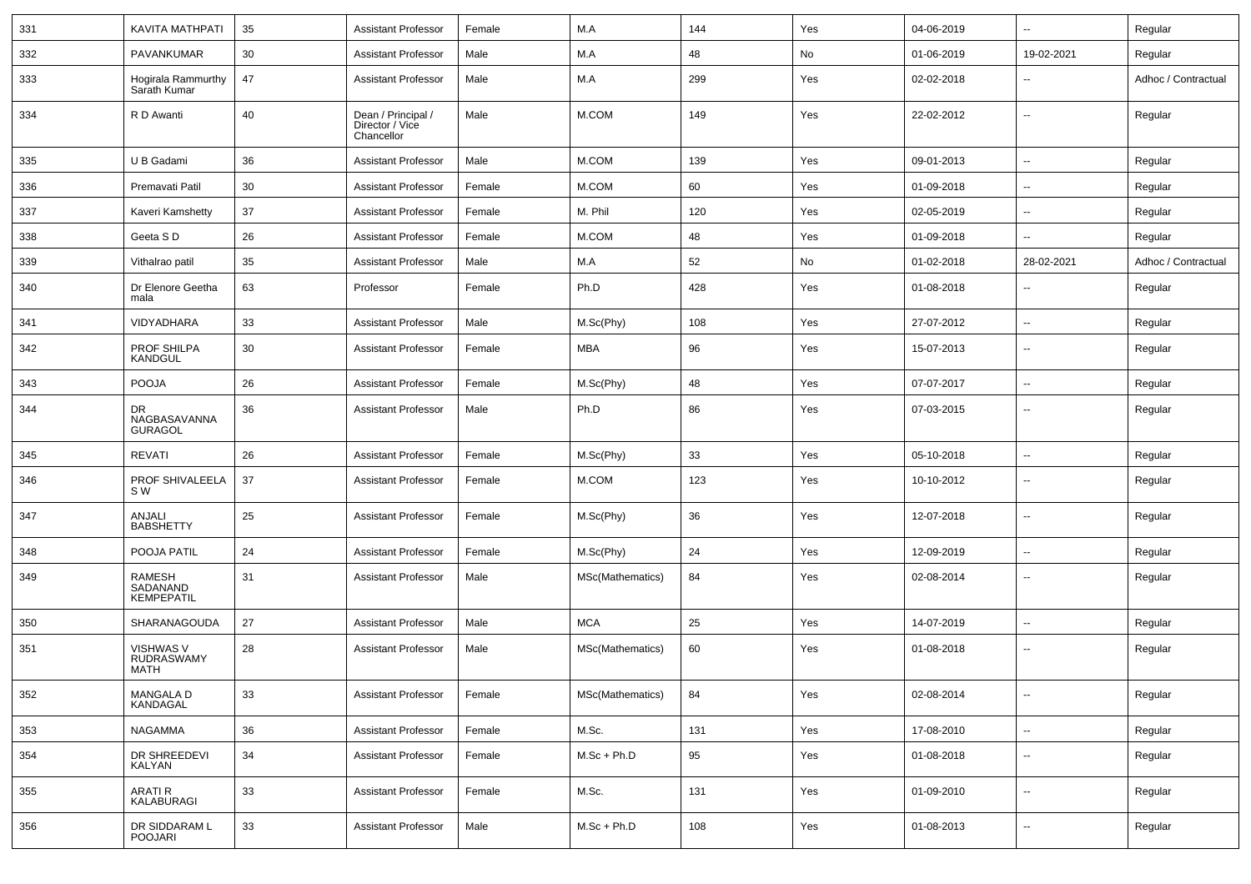| 331 | KAVITA MATHPATI                         | 35 | Assistant Professor                                 | Female | M.A              | 144 | Yes | 04-06-2019 | $\overline{\phantom{a}}$ | Regular             |
|-----|-----------------------------------------|----|-----------------------------------------------------|--------|------------------|-----|-----|------------|--------------------------|---------------------|
| 332 | PAVANKUMAR                              | 30 | <b>Assistant Professor</b>                          | Male   | M.A              | 48  | No  | 01-06-2019 | 19-02-2021               | Regular             |
| 333 | Hogirala Rammurthy<br>Sarath Kumar      | 47 | <b>Assistant Professor</b>                          | Male   | M.A              | 299 | Yes | 02-02-2018 | --                       | Adhoc / Contractual |
| 334 | R D Awanti                              | 40 | Dean / Principal /<br>Director / Vice<br>Chancellor | Male   | M.COM            | 149 | Yes | 22-02-2012 | $\sim$                   | Regular             |
| 335 | U B Gadami                              | 36 | <b>Assistant Professor</b>                          | Male   | M.COM            | 139 | Yes | 09-01-2013 | $\overline{\phantom{a}}$ | Regular             |
| 336 | Premavati Patil                         | 30 | <b>Assistant Professor</b>                          | Female | M.COM            | 60  | Yes | 01-09-2018 | Ξ.                       | Regular             |
| 337 | Kaveri Kamshetty                        | 37 | <b>Assistant Professor</b>                          | Female | M. Phil          | 120 | Yes | 02-05-2019 | ۰.                       | Regular             |
| 338 | Geeta SD                                | 26 | <b>Assistant Professor</b>                          | Female | M.COM            | 48  | Yes | 01-09-2018 | $\overline{a}$           | Regular             |
| 339 | Vithalrao patil                         | 35 | <b>Assistant Professor</b>                          | Male   | M.A              | 52  | No  | 01-02-2018 | 28-02-2021               | Adhoc / Contractual |
| 340 | Dr Elenore Geetha<br>mala               | 63 | Professor                                           | Female | Ph.D             | 428 | Yes | 01-08-2018 | $\overline{\phantom{a}}$ | Regular             |
| 341 | VIDYADHARA                              | 33 | Assistant Professor                                 | Male   | M.Sc(Phy)        | 108 | Yes | 27-07-2012 | $\overline{\phantom{a}}$ | Regular             |
| 342 | PROF SHILPA<br>KANDGUL                  | 30 | Assistant Professor                                 | Female | <b>MBA</b>       | 96  | Yes | 15-07-2013 | $\overline{\phantom{a}}$ | Regular             |
| 343 | <b>POOJA</b>                            | 26 | Assistant Professor                                 | Female | M.Sc(Phy)        | 48  | Yes | 07-07-2017 | $\overline{\phantom{a}}$ | Regular             |
| 344 | DR<br>NAGBASAVANNA<br><b>GURAGOL</b>    | 36 | <b>Assistant Professor</b>                          | Male   | Ph.D             | 86  | Yes | 07-03-2015 | --                       | Regular             |
| 345 | REVATI                                  | 26 | Assistant Professor                                 | Female | M.Sc(Phy)        | 33  | Yes | 05-10-2018 | $\overline{\phantom{a}}$ | Regular             |
| 346 | PROF SHIVALEELA<br>S W                  | 37 | <b>Assistant Professor</b>                          | Female | M.COM            | 123 | Yes | 10-10-2012 | $\sim$                   | Regular             |
| 347 | ANJALI<br><b>BABSHETTY</b>              | 25 | <b>Assistant Professor</b>                          | Female | M.Sc(Phy)        | 36  | Yes | 12-07-2018 | $\sim$                   | Regular             |
| 348 | POOJA PATIL                             | 24 | <b>Assistant Professor</b>                          | Female | M.Sc(Phy)        | 24  | Yes | 12-09-2019 | $\overline{\phantom{a}}$ | Regular             |
| 349 | RAMESH<br>SADANAND<br><b>KEMPEPATIL</b> | 31 | <b>Assistant Professor</b>                          | Male   | MSc(Mathematics) | 84  | Yes | 02-08-2014 | $- -$                    | Regular             |
| 350 | SHARANAGOUDA                            | 27 | <b>Assistant Professor</b>                          | Male   | <b>MCA</b>       | 25  | Yes | 14-07-2019 | Ξ.                       | Regular             |
| 351 | VISHWAS V<br>RUDRASWAMY<br><b>MATH</b>  | 28 | <b>Assistant Professor</b>                          | Male   | MSc(Mathematics) | 60  | Yes | 01-08-2018 | ۰.                       | Regular             |
| 352 | MANGALA D<br>KANDAGAL                   | 33 | <b>Assistant Professor</b>                          | Female | MSc(Mathematics) | 84  | Yes | 02-08-2014 | $\overline{\phantom{a}}$ | Regular             |
| 353 | <b>NAGAMMA</b>                          | 36 | <b>Assistant Professor</b>                          | Female | M.Sc.            | 131 | Yes | 17-08-2010 | Ξ.                       | Regular             |
| 354 | DR SHREEDEVI<br>KALYAN                  | 34 | <b>Assistant Professor</b>                          | Female | $M.Sc + Ph.D$    | 95  | Yes | 01-08-2018 | --                       | Regular             |
| 355 | ARATI R<br>KALABURAGI                   | 33 | <b>Assistant Professor</b>                          | Female | M.Sc.            | 131 | Yes | 01-09-2010 | $\overline{\phantom{a}}$ | Regular             |
| 356 | DR SIDDARAM L<br><b>POOJARI</b>         | 33 | <b>Assistant Professor</b>                          | Male   | $M.Sc + Ph.D$    | 108 | Yes | 01-08-2013 | $\overline{\phantom{a}}$ | Regular             |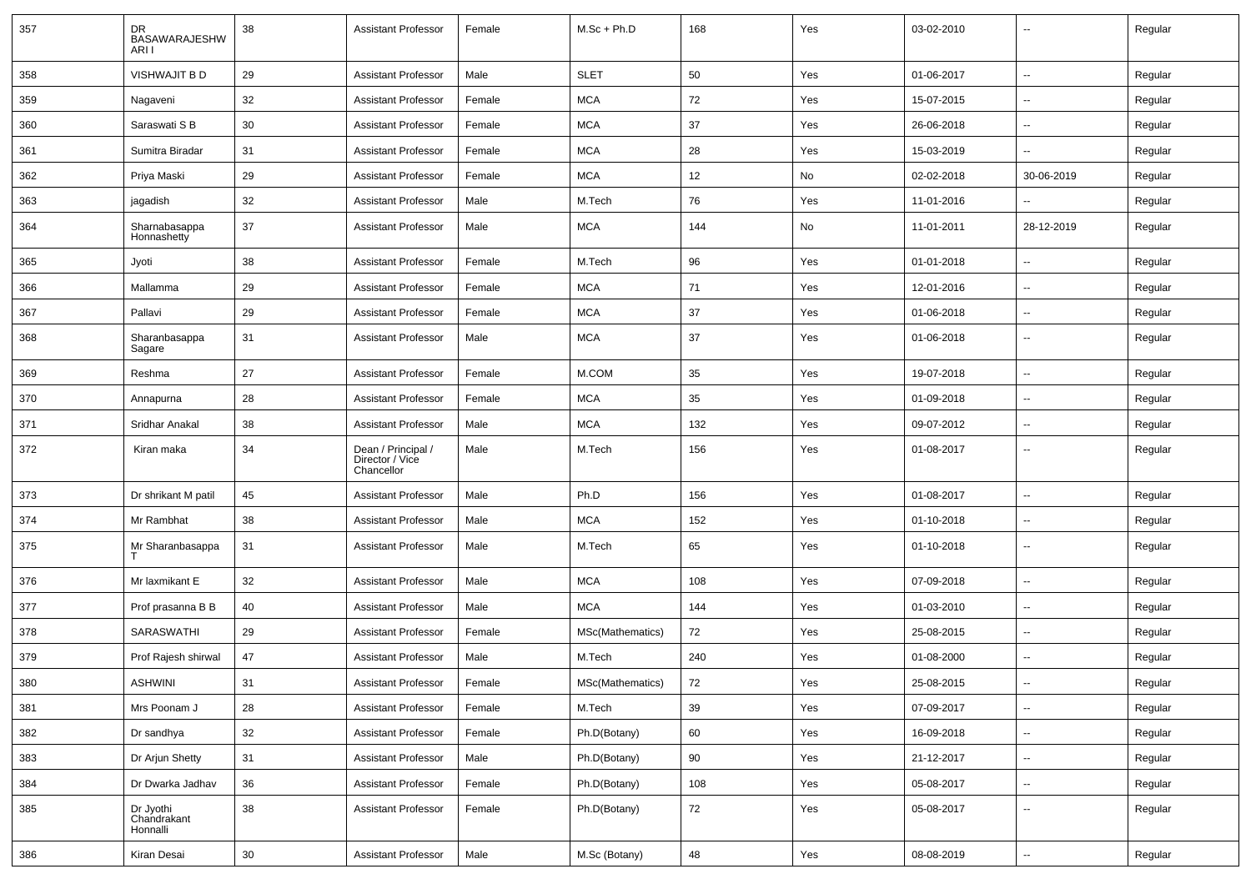| 357 | DR<br>BASAWARAJESHW<br>ARI I         | 38              | <b>Assistant Professor</b>                          | Female | $M.Sc + Ph.D$    | 168 | Yes | 03-02-2010 | $\overline{\phantom{a}}$ | Regular |
|-----|--------------------------------------|-----------------|-----------------------------------------------------|--------|------------------|-----|-----|------------|--------------------------|---------|
| 358 | VISHWAJIT B D                        | 29              | <b>Assistant Professor</b>                          | Male   | <b>SLET</b>      | 50  | Yes | 01-06-2017 | Ξ.                       | Regular |
| 359 | Nagaveni                             | 32              | <b>Assistant Professor</b>                          | Female | <b>MCA</b>       | 72  | Yes | 15-07-2015 | $\overline{\phantom{a}}$ | Regular |
| 360 | Saraswati S B                        | 30              | <b>Assistant Professor</b>                          | Female | <b>MCA</b>       | 37  | Yes | 26-06-2018 | -−                       | Regular |
| 361 | Sumitra Biradar                      | 31              | <b>Assistant Professor</b>                          | Female | <b>MCA</b>       | 28  | Yes | 15-03-2019 | $\overline{\phantom{a}}$ | Regular |
| 362 | Priya Maski                          | 29              | <b>Assistant Professor</b>                          | Female | <b>MCA</b>       | 12  | No  | 02-02-2018 | 30-06-2019               | Regular |
| 363 | jagadish                             | 32              | <b>Assistant Professor</b>                          | Male   | M.Tech           | 76  | Yes | 11-01-2016 |                          | Regular |
| 364 | Sharnabasappa<br>Honnashetty         | 37              | <b>Assistant Professor</b>                          | Male   | <b>MCA</b>       | 144 | No  | 11-01-2011 | 28-12-2019               | Regular |
| 365 | Jyoti                                | 38              | <b>Assistant Professor</b>                          | Female | M.Tech           | 96  | Yes | 01-01-2018 | Ξ.                       | Regular |
| 366 | Mallamma                             | 29              | <b>Assistant Professor</b>                          | Female | <b>MCA</b>       | 71  | Yes | 12-01-2016 | н.                       | Regular |
| 367 | Pallavi                              | 29              | <b>Assistant Professor</b>                          | Female | <b>MCA</b>       | 37  | Yes | 01-06-2018 | --                       | Regular |
| 368 | Sharanbasappa<br>Sagare              | 31              | <b>Assistant Professor</b>                          | Male   | <b>MCA</b>       | 37  | Yes | 01-06-2018 | --                       | Regular |
| 369 | Reshma                               | 27              | <b>Assistant Professor</b>                          | Female | M.COM            | 35  | Yes | 19-07-2018 | Ξ.                       | Regular |
| 370 | Annapurna                            | 28              | <b>Assistant Professor</b>                          | Female | <b>MCA</b>       | 35  | Yes | 01-09-2018 | $\overline{\phantom{a}}$ | Regular |
| 371 | Sridhar Anakal                       | 38              | <b>Assistant Professor</b>                          | Male   | <b>MCA</b>       | 132 | Yes | 09-07-2012 | -−                       | Regular |
| 372 | Kiran maka                           | 34              | Dean / Principal /<br>Director / Vice<br>Chancellor | Male   | M.Tech           | 156 | Yes | 01-08-2017 | $\overline{\phantom{a}}$ | Regular |
| 373 | Dr shrikant M patil                  | 45              | <b>Assistant Professor</b>                          | Male   | Ph.D             | 156 | Yes | 01-08-2017 |                          | Regular |
| 374 | Mr Rambhat                           | 38              | <b>Assistant Professor</b>                          | Male   | <b>MCA</b>       | 152 | Yes | 01-10-2018 | $\mathbf{u}$             | Regular |
| 375 | Mr Sharanbasappa                     | 31              | <b>Assistant Professor</b>                          | Male   | M.Tech           | 65  | Yes | 01-10-2018 | $\overline{\phantom{a}}$ | Regular |
| 376 | Mr laxmikant E                       | 32              | <b>Assistant Professor</b>                          | Male   | <b>MCA</b>       | 108 | Yes | 07-09-2018 | $\overline{\phantom{a}}$ | Regular |
| 377 | Prof prasanna B B                    | 40              | <b>Assistant Professor</b>                          | Male   | <b>MCA</b>       | 144 | Yes | 01-03-2010 | н.                       | Regular |
| 378 | SARASWATHI                           | 29              | Assistant Professor                                 | Female | MSc(Mathematics) | 72  | Yes | 25-08-2015 | --                       | Regular |
| 379 | Prof Rajesh shirwal                  | 47              | <b>Assistant Professor</b>                          | Male   | M.Tech           | 240 | Yes | 01-08-2000 | $\overline{\phantom{a}}$ | Regular |
| 380 | ASHWINI                              | 31              | Assistant Professor                                 | Female | MSc(Mathematics) | 72  | Yes | 25-08-2015 |                          | Regular |
| 381 | Mrs Poonam J                         | 28              | <b>Assistant Professor</b>                          | Female | M.Tech           | 39  | Yes | 07-09-2017 | $\overline{\phantom{a}}$ | Regular |
| 382 | Dr sandhya                           | 32              | <b>Assistant Professor</b>                          | Female | Ph.D(Botany)     | 60  | Yes | 16-09-2018 | $\sim$                   | Regular |
| 383 | Dr Arjun Shetty                      | 31              | <b>Assistant Professor</b>                          | Male   | Ph.D(Botany)     | 90  | Yes | 21-12-2017 | $\sim$                   | Regular |
| 384 | Dr Dwarka Jadhav                     | 36              | <b>Assistant Professor</b>                          | Female | Ph.D(Botany)     | 108 | Yes | 05-08-2017 | $\overline{\phantom{a}}$ | Regular |
| 385 | Dr Jyothi<br>Chandrakant<br>Honnalli | 38              | <b>Assistant Professor</b>                          | Female | Ph.D(Botany)     | 72  | Yes | 05-08-2017 | н.                       | Regular |
| 386 | Kiran Desai                          | 30 <sup>°</sup> | <b>Assistant Professor</b>                          | Male   | M.Sc (Botany)    | 48  | Yes | 08-08-2019 | $\sim$                   | Regular |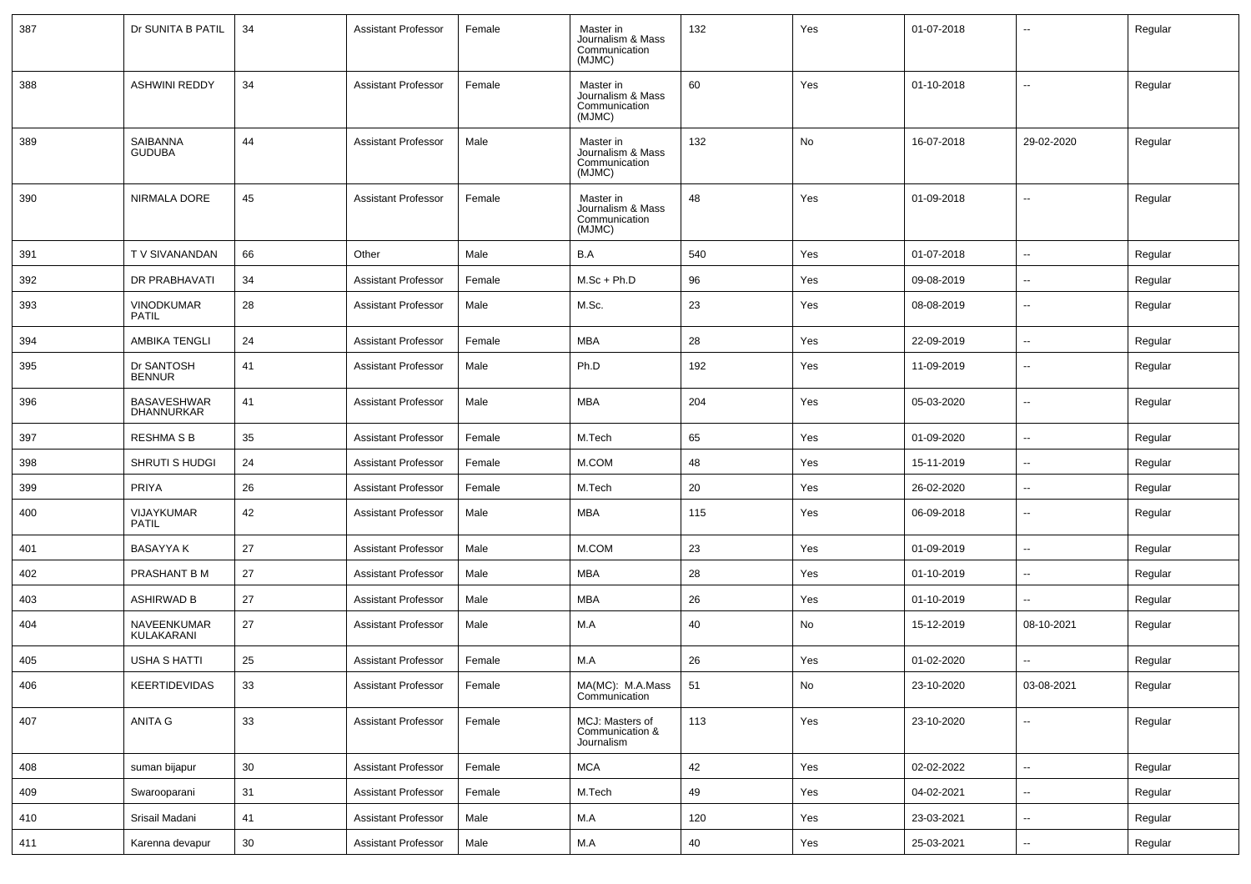| 387 | Dr SUNITA B PATIL                 | 34 | <b>Assistant Professor</b> | Female | Master in<br>Journalism & Mass<br>Communication<br>(MJMC) | 132 | Yes | 01-07-2018 | --                       | Regular |
|-----|-----------------------------------|----|----------------------------|--------|-----------------------------------------------------------|-----|-----|------------|--------------------------|---------|
| 388 | <b>ASHWINI REDDY</b>              | 34 | <b>Assistant Professor</b> | Female | Master in<br>Journalism & Mass<br>Communication<br>(MJMC) | 60  | Yes | 01-10-2018 | $\overline{\phantom{a}}$ | Regular |
| 389 | SAIBANNA<br><b>GUDUBA</b>         | 44 | <b>Assistant Professor</b> | Male   | Master in<br>Journalism & Mass<br>Communication<br>(MJMC) | 132 | No  | 16-07-2018 | 29-02-2020               | Regular |
| 390 | <b>NIRMALA DORE</b>               | 45 | <b>Assistant Professor</b> | Female | Master in<br>Journalism & Mass<br>Communication<br>(MJMC) | 48  | Yes | 01-09-2018 | ۰.                       | Regular |
| 391 | T V SIVANANDAN                    | 66 | Other                      | Male   | B.A                                                       | 540 | Yes | 01-07-2018 | u.                       | Regular |
| 392 | DR PRABHAVATI                     | 34 | <b>Assistant Professor</b> | Female | $M.Sc + Ph.D$                                             | 96  | Yes | 09-08-2019 | --                       | Regular |
| 393 | <b>VINODKUMAR</b><br><b>PATIL</b> | 28 | <b>Assistant Professor</b> | Male   | M.Sc.                                                     | 23  | Yes | 08-08-2019 | ۰.                       | Regular |
| 394 | <b>AMBIKA TENGLI</b>              | 24 | <b>Assistant Professor</b> | Female | <b>MBA</b>                                                | 28  | Yes | 22-09-2019 | Ξ.                       | Regular |
| 395 | Dr SANTOSH<br><b>BENNUR</b>       | 41 | <b>Assistant Professor</b> | Male   | Ph.D                                                      | 192 | Yes | 11-09-2019 | $\overline{\phantom{a}}$ | Regular |
| 396 | <b>BASAVESHWAR</b><br>DHANNURKAR  | 41 | <b>Assistant Professor</b> | Male   | MBA                                                       | 204 | Yes | 05-03-2020 | u.                       | Regular |
| 397 | <b>RESHMA S B</b>                 | 35 | <b>Assistant Professor</b> | Female | M.Tech                                                    | 65  | Yes | 01-09-2020 | $\overline{\phantom{a}}$ | Regular |
| 398 | <b>SHRUTI S HUDGI</b>             | 24 | <b>Assistant Professor</b> | Female | M.COM                                                     | 48  | Yes | 15-11-2019 | --                       | Regular |
| 399 | <b>PRIYA</b>                      | 26 | <b>Assistant Professor</b> | Female | M.Tech                                                    | 20  | Yes | 26-02-2020 | $\overline{\phantom{a}}$ | Regular |
| 400 | VIJAYKUMAR<br><b>PATIL</b>        | 42 | <b>Assistant Professor</b> | Male   | <b>MBA</b>                                                | 115 | Yes | 06-09-2018 | $\overline{\phantom{a}}$ | Regular |
| 401 | <b>BASAYYA K</b>                  | 27 | <b>Assistant Professor</b> | Male   | M.COM                                                     | 23  | Yes | 01-09-2019 | u.                       | Regular |
| 402 | PRASHANT B M                      | 27 | <b>Assistant Professor</b> | Male   | MBA                                                       | 28  | Yes | 01-10-2019 | $\overline{\phantom{a}}$ | Regular |
| 403 | <b>ASHIRWAD B</b>                 | 27 | <b>Assistant Professor</b> | Male   | <b>MBA</b>                                                | 26  | Yes | 01-10-2019 | --                       | Regular |
| 404 | NAVEENKUMAR<br>KULAKARANI         | 27 | <b>Assistant Professor</b> | Male   | M.A                                                       | 40  | No  | 15-12-2019 | 08-10-2021               | Regular |
| 405 | USHA S HATTI                      | 25 | <b>Assistant Professor</b> | Female | M.A                                                       | 26  | Yes | 01-02-2020 | u.                       | Regular |
| 406 | KEERTIDEVIDAS                     | 33 | Assistant Professor        | Female | MA(MC): M.A.Mass 51<br>Communication                      |     | No  | 23-10-2020 | 03-08-2021               | Regular |
| 407 | ANITA G                           | 33 | <b>Assistant Professor</b> | Female | MCJ: Masters of<br>Communication &<br>Journalism          | 113 | Yes | 23-10-2020 | Ξ.                       | Regular |
| 408 | suman bijapur                     | 30 | <b>Assistant Professor</b> | Female | <b>MCA</b>                                                | 42  | Yes | 02-02-2022 | Ξ.                       | Regular |
| 409 | Swarooparani                      | 31 | <b>Assistant Professor</b> | Female | M.Tech                                                    | 49  | Yes | 04-02-2021 | Ξ.                       | Regular |
| 410 | Srisail Madani                    | 41 | <b>Assistant Professor</b> | Male   | M.A                                                       | 120 | Yes | 23-03-2021 | Ξ.                       | Regular |
| 411 | Karenna devapur                   | 30 | <b>Assistant Professor</b> | Male   | M.A                                                       | 40  | Yes | 25-03-2021 | Ξ.                       | Regular |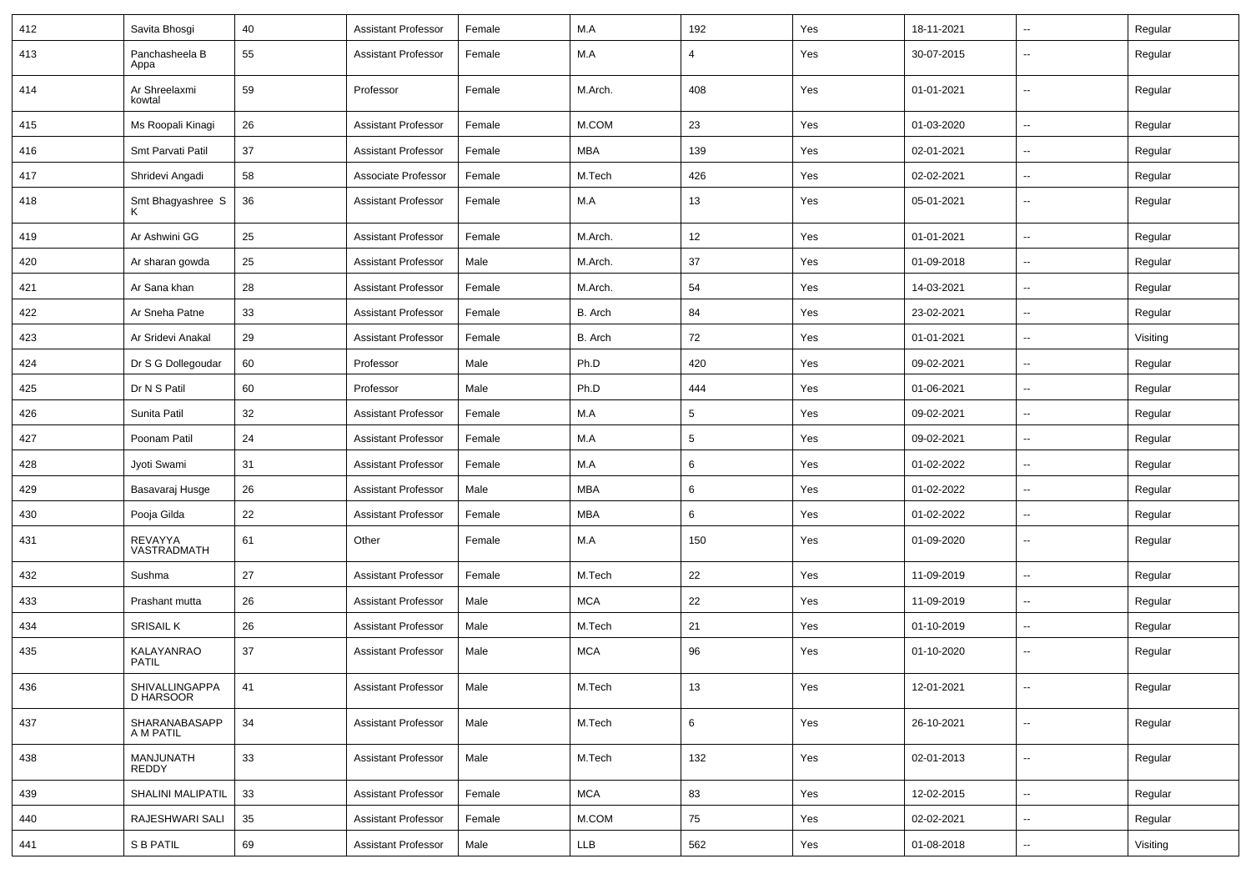| 412 | Savita Bhosgi               | 40 | <b>Assistant Professor</b> | Female | M.A        | 192     | Yes | 18-11-2021 | $\overline{\phantom{a}}$ | Regular  |
|-----|-----------------------------|----|----------------------------|--------|------------|---------|-----|------------|--------------------------|----------|
| 413 | Panchasheela B<br>Appa      | 55 | <b>Assistant Professor</b> | Female | M.A        | 4       | Yes | 30-07-2015 | --                       | Regular  |
| 414 | Ar Shreelaxmi<br>kowtal     | 59 | Professor                  | Female | M.Arch.    | 408     | Yes | 01-01-2021 | $\overline{\phantom{a}}$ | Regular  |
| 415 | Ms Roopali Kinagi           | 26 | <b>Assistant Professor</b> | Female | M.COM      | 23      | Yes | 01-03-2020 | $\sim$                   | Regular  |
| 416 | Smt Parvati Patil           | 37 | <b>Assistant Professor</b> | Female | <b>MBA</b> | 139     | Yes | 02-01-2021 | $\overline{\phantom{a}}$ | Regular  |
| 417 | Shridevi Angadi             | 58 | Associate Professor        | Female | M.Tech     | 426     | Yes | 02-02-2021 | --                       | Regular  |
| 418 | Smt Bhagyashree S<br>Κ      | 36 | <b>Assistant Professor</b> | Female | M.A        | 13      | Yes | 05-01-2021 | --                       | Regular  |
| 419 | Ar Ashwini GG               | 25 | <b>Assistant Professor</b> | Female | M.Arch.    | 12      | Yes | 01-01-2021 | Ξ.                       | Regular  |
| 420 | Ar sharan gowda             | 25 | <b>Assistant Professor</b> | Male   | M.Arch.    | 37      | Yes | 01-09-2018 | $\overline{\phantom{a}}$ | Regular  |
| 421 | Ar Sana khan                | 28 | <b>Assistant Professor</b> | Female | M.Arch.    | 54      | Yes | 14-03-2021 | $\sim$                   | Regular  |
| 422 | Ar Sneha Patne              | 33 | <b>Assistant Professor</b> | Female | B. Arch    | 84      | Yes | 23-02-2021 | --                       | Regular  |
| 423 | Ar Sridevi Anakal           | 29 | <b>Assistant Professor</b> | Female | B. Arch    | 72      | Yes | 01-01-2021 | $\overline{\phantom{a}}$ | Visiting |
| 424 | Dr S G Dollegoudar          | 60 | Professor                  | Male   | Ph.D       | 420     | Yes | 09-02-2021 | $\overline{\phantom{a}}$ | Regular  |
| 425 | Dr N S Patil                | 60 | Professor                  | Male   | Ph.D       | 444     | Yes | 01-06-2021 | $\overline{\phantom{a}}$ | Regular  |
| 426 | Sunita Patil                | 32 | <b>Assistant Professor</b> | Female | M.A        | 5       | Yes | 09-02-2021 | Щ,                       | Regular  |
| 427 | Poonam Patil                | 24 | <b>Assistant Professor</b> | Female | M.A        | 5       | Yes | 09-02-2021 | Ξ.                       | Regular  |
| 428 | Jyoti Swami                 | 31 | <b>Assistant Professor</b> | Female | M.A        | 6       | Yes | 01-02-2022 | $\overline{\phantom{a}}$ | Regular  |
| 429 | Basavaraj Husge             | 26 | <b>Assistant Professor</b> | Male   | <b>MBA</b> | 6       | Yes | 01-02-2022 | $\sim$                   | Regular  |
| 430 | Pooja Gilda                 | 22 | <b>Assistant Professor</b> | Female | MBA        | 6       | Yes | 01-02-2022 | $\overline{\phantom{a}}$ | Regular  |
| 431 | REVAYYA<br>VASTRADMATH      | 61 | Other                      | Female | M.A        | 150     | Yes | 01-09-2020 | $\overline{a}$           | Regular  |
| 432 | Sushma                      | 27 | <b>Assistant Professor</b> | Female | M.Tech     | 22      | Yes | 11-09-2019 | Ξ.                       | Regular  |
| 433 | Prashant mutta              | 26 | <b>Assistant Professor</b> | Male   | <b>MCA</b> | 22      | Yes | 11-09-2019 | $\overline{\phantom{a}}$ | Regular  |
| 434 | <b>SRISAIL K</b>            | 26 | <b>Assistant Professor</b> | Male   | M.Tech     | 21      | Yes | 01-10-2019 | $\sim$                   | Regular  |
| 435 | KALAYANRAO<br><b>PATIL</b>  | 37 | <b>Assistant Professor</b> | Male   | <b>MCA</b> | 96      | Yes | 01-10-2020 | --                       | Regular  |
| 436 | SHIVALLINGAPPA<br>D HARSOOR | 41 | Assistant Professor        | Male   | M.Tech     | 13      | Yes | 12-01-2021 | $\overline{\phantom{a}}$ | Regular  |
| 437 | SHARANABASAPP<br>A M PATIL  | 34 | <b>Assistant Professor</b> | Male   | M.Tech     | $\,6\,$ | Yes | 26-10-2021 | $\sim$                   | Regular  |
| 438 | MANJUNATH<br><b>REDDY</b>   | 33 | <b>Assistant Professor</b> | Male   | M.Tech     | 132     | Yes | 02-01-2013 | $\sim$                   | Regular  |
| 439 | SHALINI MALIPATIL           | 33 | <b>Assistant Professor</b> | Female | <b>MCA</b> | 83      | Yes | 12-02-2015 | н.                       | Regular  |
| 440 | RAJESHWARI SALI             | 35 | <b>Assistant Professor</b> | Female | M.COM      | 75      | Yes | 02-02-2021 | $\sim$                   | Regular  |
| 441 | S B PATIL                   | 69 | <b>Assistant Professor</b> | Male   | <b>LLB</b> | 562     | Yes | 01-08-2018 | $\sim$                   | Visiting |